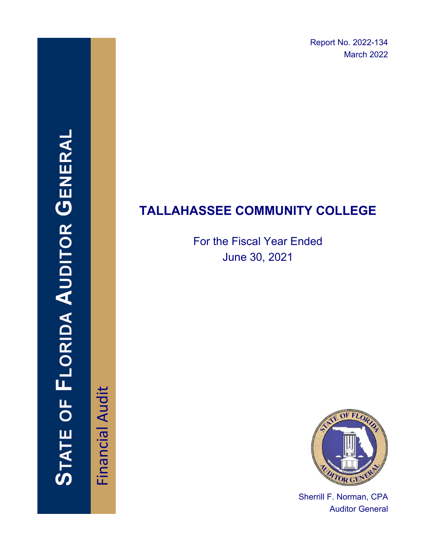Report No. 2022-134 March 2022

# STATE OF FLORIDA AUDITOR GENERA

Financial Audit Financial Audit

# **TALLAHASSEE COMMUNITY COLLEGE**

For the Fiscal Year Ended June 30, 2021



Sherrill F. Norman, CPA Auditor General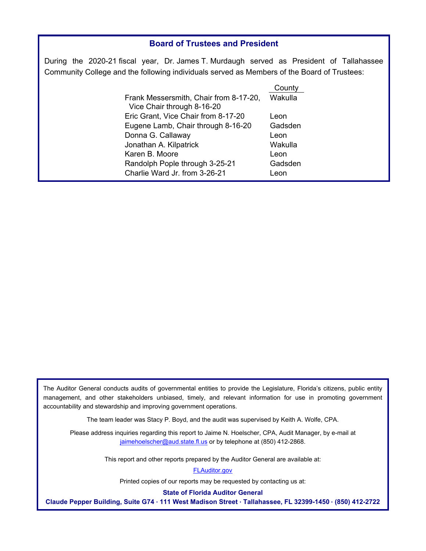#### **Board of Trustees and President**

During the 2020-21 fiscal year, Dr. James T. Murdaugh served as President of Tallahassee Community College and the following individuals served as Members of the Board of Trustees:

| Wakulla<br>Frank Messersmith, Chair from 8-17-20,<br>Vice Chair through 8-16-20<br>Eric Grant, Vice Chair from 8-17-20<br>Leon<br>Eugene Lamb, Chair through 8-16-20<br>Gadsden<br>Donna G. Callaway<br>Leon<br>Jonathan A. Kilpatrick<br>Wakulla<br>Karen B. Moore<br>Leon |
|-----------------------------------------------------------------------------------------------------------------------------------------------------------------------------------------------------------------------------------------------------------------------------|
|                                                                                                                                                                                                                                                                             |
|                                                                                                                                                                                                                                                                             |
|                                                                                                                                                                                                                                                                             |
|                                                                                                                                                                                                                                                                             |
|                                                                                                                                                                                                                                                                             |
|                                                                                                                                                                                                                                                                             |
| Randolph Pople through 3-25-21<br>Gadsden                                                                                                                                                                                                                                   |
| Charlie Ward Jr. from 3-26-21<br>Leon                                                                                                                                                                                                                                       |

The Auditor General conducts audits of governmental entities to provide the Legislature, Florida's citizens, public entity management, and other stakeholders unbiased, timely, and relevant information for use in promoting government accountability and stewardship and improving government operations.

The team leader was Stacy P. Boyd, and the audit was supervised by Keith A. Wolfe, CPA.

Please address inquiries regarding this report to Jaime N. Hoelscher, CPA, Audit Manager, by e-mail at jaimehoelscher@aud.state.fl.us or by telephone at (850) 412-2868.

This report and other reports prepared by the Auditor General are available at:

[FLAuditor.gov](http://flauditor.gov/) 

Printed copies of our reports may be requested by contacting us at:

**State of Florida Auditor General** 

**Claude Pepper Building, Suite G74 · 111 West Madison Street · Tallahassee, FL 32399-1450 · (850) 412-2722**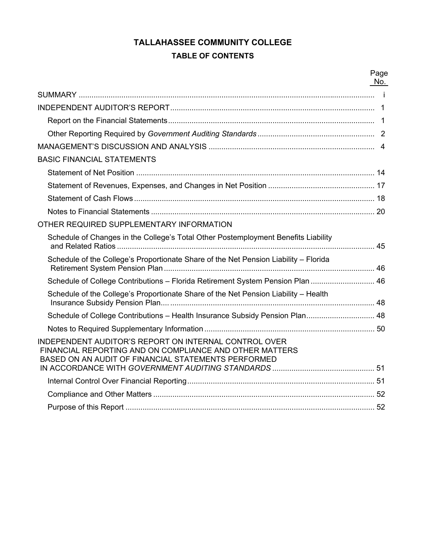# **TALLAHASSEE COMMUNITY COLLEGE TABLE OF CONTENTS**

Page

|                                                                                                                                                                         | No. |
|-------------------------------------------------------------------------------------------------------------------------------------------------------------------------|-----|
|                                                                                                                                                                         |     |
|                                                                                                                                                                         |     |
|                                                                                                                                                                         |     |
|                                                                                                                                                                         |     |
|                                                                                                                                                                         |     |
| <b>BASIC FINANCIAL STATEMENTS</b>                                                                                                                                       |     |
|                                                                                                                                                                         |     |
|                                                                                                                                                                         |     |
|                                                                                                                                                                         |     |
|                                                                                                                                                                         |     |
| OTHER REQUIRED SUPPLEMENTARY INFORMATION                                                                                                                                |     |
| Schedule of Changes in the College's Total Other Postemployment Benefits Liability                                                                                      |     |
| Schedule of the College's Proportionate Share of the Net Pension Liability - Florida                                                                                    |     |
| Schedule of College Contributions - Florida Retirement System Pension Plan  46                                                                                          |     |
| Schedule of the College's Proportionate Share of the Net Pension Liability - Health                                                                                     |     |
| Schedule of College Contributions - Health Insurance Subsidy Pension Plan 48                                                                                            |     |
|                                                                                                                                                                         |     |
| INDEPENDENT AUDITOR'S REPORT ON INTERNAL CONTROL OVER<br>FINANCIAL REPORTING AND ON COMPLIANCE AND OTHER MATTERS<br>BASED ON AN AUDIT OF FINANCIAL STATEMENTS PERFORMED |     |
|                                                                                                                                                                         |     |
|                                                                                                                                                                         |     |
|                                                                                                                                                                         |     |
|                                                                                                                                                                         |     |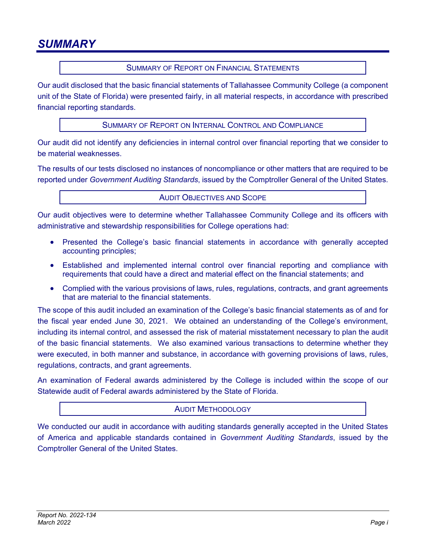# SUMMARY OF REPORT ON FINANCIAL STATEMENTS

<span id="page-3-0"></span>Our audit disclosed that the basic financial statements of Tallahassee Community College (a component unit of the State of Florida) were presented fairly, in all material respects, in accordance with prescribed financial reporting standards.

SUMMARY OF REPORT ON INTERNAL CONTROL AND COMPLIANCE

Our audit did not identify any deficiencies in internal control over financial reporting that we consider to be material weaknesses.

The results of our tests disclosed no instances of noncompliance or other matters that are required to be reported under *Government Auditing Standards*, issued by the Comptroller General of the United States.

#### AUDIT OBJECTIVES AND SCOPE

Our audit objectives were to determine whether Tallahassee Community College and its officers with administrative and stewardship responsibilities for College operations had:

- Presented the College's basic financial statements in accordance with generally accepted accounting principles;
- Established and implemented internal control over financial reporting and compliance with requirements that could have a direct and material effect on the financial statements; and
- Complied with the various provisions of laws, rules, regulations, contracts, and grant agreements that are material to the financial statements.

The scope of this audit included an examination of the College's basic financial statements as of and for the fiscal year ended June 30, 2021. We obtained an understanding of the College's environment, including its internal control, and assessed the risk of material misstatement necessary to plan the audit of the basic financial statements. We also examined various transactions to determine whether they were executed, in both manner and substance, in accordance with governing provisions of laws, rules, regulations, contracts, and grant agreements.

An examination of Federal awards administered by the College is included within the scope of our Statewide audit of Federal awards administered by the State of Florida.

# AUDIT METHODOLOGY

We conducted our audit in accordance with auditing standards generally accepted in the United States of America and applicable standards contained in *Government Auditing Standards*, issued by the Comptroller General of the United States.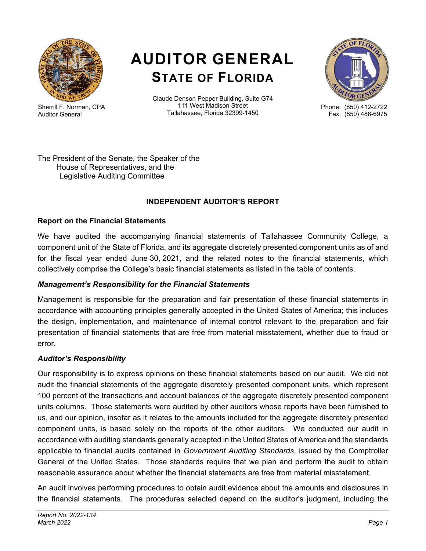<span id="page-4-0"></span>

Sherrill F. Norman, CPA Auditor General

# **AUDITOR GENERAL STATE OF FLORIDA**

Claude Denson Pepper Building, Suite G74 111 West Madison Street Tallahassee, Florida 32399-1450



Phone: (850) 412-2722 Fax: (850) 488-6975

The President of the Senate, the Speaker of the House of Representatives, and the Legislative Auditing Committee

# **INDEPENDENT AUDITOR'S REPORT**

# **Report on the Financial Statements**

We have audited the accompanying financial statements of Tallahassee Community College, a component unit of the State of Florida, and its aggregate discretely presented component units as of and for the fiscal year ended June 30, 2021, and the related notes to the financial statements, which collectively comprise the College's basic financial statements as listed in the table of contents.

# *Management's Responsibility for the Financial Statements*

Management is responsible for the preparation and fair presentation of these financial statements in accordance with accounting principles generally accepted in the United States of America; this includes the design, implementation, and maintenance of internal control relevant to the preparation and fair presentation of financial statements that are free from material misstatement, whether due to fraud or error.

# *Auditor's Responsibility*

Our responsibility is to express opinions on these financial statements based on our audit. We did not audit the financial statements of the aggregate discretely presented component units, which represent 100 percent of the transactions and account balances of the aggregate discretely presented component units columns. Those statements were audited by other auditors whose reports have been furnished to us, and our opinion, insofar as it relates to the amounts included for the aggregate discretely presented component units, is based solely on the reports of the other auditors. We conducted our audit in accordance with auditing standards generally accepted in the United States of America and the standards applicable to financial audits contained in *Government Auditing Standards*, issued by the Comptroller General of the United States. Those standards require that we plan and perform the audit to obtain reasonable assurance about whether the financial statements are free from material misstatement.

An audit involves performing procedures to obtain audit evidence about the amounts and disclosures in the financial statements. The procedures selected depend on the auditor's judgment, including the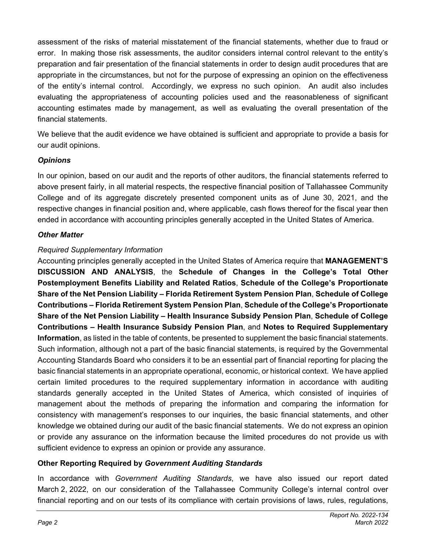<span id="page-5-0"></span>assessment of the risks of material misstatement of the financial statements, whether due to fraud or error. In making those risk assessments, the auditor considers internal control relevant to the entity's preparation and fair presentation of the financial statements in order to design audit procedures that are appropriate in the circumstances, but not for the purpose of expressing an opinion on the effectiveness of the entity's internal control. Accordingly, we express no such opinion. An audit also includes evaluating the appropriateness of accounting policies used and the reasonableness of significant accounting estimates made by management, as well as evaluating the overall presentation of the financial statements.

We believe that the audit evidence we have obtained is sufficient and appropriate to provide a basis for our audit opinions.

# *Opinions*

In our opinion, based on our audit and the reports of other auditors, the financial statements referred to above present fairly, in all material respects, the respective financial position of Tallahassee Community College and of its aggregate discretely presented component units as of June 30, 2021, and the respective changes in financial position and, where applicable, cash flows thereof for the fiscal year then ended in accordance with accounting principles generally accepted in the United States of America.

# *Other Matter*

# *Required Supplementary Information*

Accounting principles generally accepted in the United States of America require that **MANAGEMENT'S DISCUSSION AND ANALYSIS**, the **Schedule of Changes in the College's Total Other Postemployment Benefits Liability and Related Ratios**, **Schedule of the College's Proportionate Share of the Net Pension Liability – Florida Retirement System Pension Plan**, **Schedule of College Contributions – Florida Retirement System Pension Plan**, **Schedule of the College's Proportionate Share of the Net Pension Liability – Health Insurance Subsidy Pension Plan**, **Schedule of College Contributions – Health Insurance Subsidy Pension Plan**, and **Notes to Required Supplementary Information**, as listed in the table of contents, be presented to supplement the basic financial statements. Such information, although not a part of the basic financial statements, is required by the Governmental Accounting Standards Board who considers it to be an essential part of financial reporting for placing the basic financial statements in an appropriate operational, economic, or historical context. We have applied certain limited procedures to the required supplementary information in accordance with auditing standards generally accepted in the United States of America, which consisted of inquiries of management about the methods of preparing the information and comparing the information for consistency with management's responses to our inquiries, the basic financial statements, and other knowledge we obtained during our audit of the basic financial statements. We do not express an opinion or provide any assurance on the information because the limited procedures do not provide us with sufficient evidence to express an opinion or provide any assurance.

# **Other Reporting Required by** *Government Auditing Standards*

In accordance with *Government Auditing Standards*, we have also issued our report dated March 2, 2022, on our consideration of the Tallahassee Community College's internal control over financial reporting and on our tests of its compliance with certain provisions of laws, rules, regulations,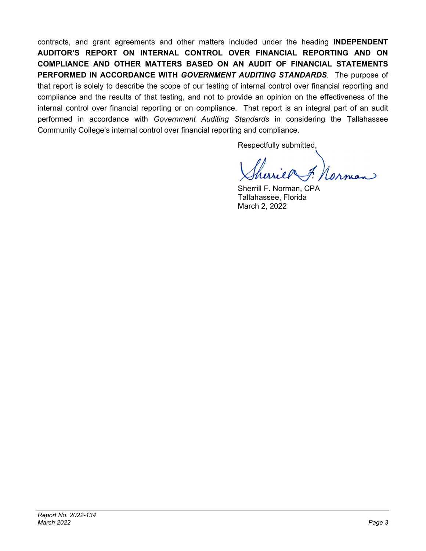contracts, and grant agreements and other matters included under the heading **INDEPENDENT AUDITOR'S REPORT ON INTERNAL CONTROL OVER FINANCIAL REPORTING AND ON COMPLIANCE AND OTHER MATTERS BASED ON AN AUDIT OF FINANCIAL STATEMENTS PERFORMED IN ACCORDANCE WITH** *GOVERNMENT AUDITING STANDARDS*. The purpose of that report is solely to describe the scope of our testing of internal control over financial reporting and compliance and the results of that testing, and not to provide an opinion on the effectiveness of the internal control over financial reporting or on compliance. That report is an integral part of an audit performed in accordance with *Government Auditing Standards* in considering the Tallahassee Community College's internal control over financial reporting and compliance.

Respectfully submitted,

Sherrill F. Norman, CPA Tallahassee, Florida March 2, 2022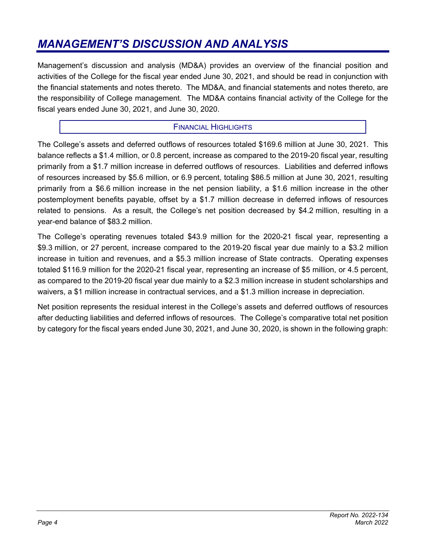# <span id="page-7-0"></span>*MANAGEMENT'S DISCUSSION AND ANALYSIS*

Management's discussion and analysis (MD&A) provides an overview of the financial position and activities of the College for the fiscal year ended June 30, 2021, and should be read in conjunction with the financial statements and notes thereto. The MD&A, and financial statements and notes thereto, are the responsibility of College management. The MD&A contains financial activity of the College for the fiscal years ended June 30, 2021, and June 30, 2020.

# FINANCIAL HIGHLIGHTS

The College's assets and deferred outflows of resources totaled \$169.6 million at June 30, 2021. This balance reflects a \$1.4 million, or 0.8 percent, increase as compared to the 2019-20 fiscal year, resulting primarily from a \$1.7 million increase in deferred outflows of resources. Liabilities and deferred inflows of resources increased by \$5.6 million, or 6.9 percent, totaling \$86.5 million at June 30, 2021, resulting primarily from a \$6.6 million increase in the net pension liability, a \$1.6 million increase in the other postemployment benefits payable, offset by a \$1.7 million decrease in deferred inflows of resources related to pensions. As a result, the College's net position decreased by \$4.2 million, resulting in a year-end balance of \$83.2 million.

The College's operating revenues totaled \$43.9 million for the 2020-21 fiscal year, representing a \$9.3 million, or 27 percent, increase compared to the 2019-20 fiscal year due mainly to a \$3.2 million increase in tuition and revenues, and a \$5.3 million increase of State contracts. Operating expenses totaled \$116.9 million for the 2020-21 fiscal year, representing an increase of \$5 million, or 4.5 percent, as compared to the 2019-20 fiscal year due mainly to a \$2.3 million increase in student scholarships and waivers, a \$1 million increase in contractual services, and a \$1.3 million increase in depreciation.

Net position represents the residual interest in the College's assets and deferred outflows of resources after deducting liabilities and deferred inflows of resources. The College's comparative total net position by category for the fiscal years ended June 30, 2021, and June 30, 2020, is shown in the following graph: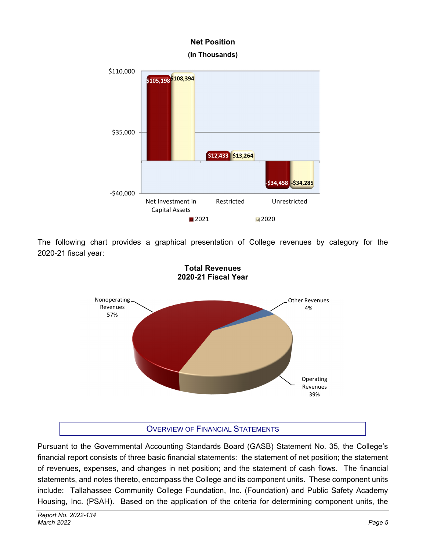# **Net Position (In Thousands)**



The following chart provides a graphical presentation of College revenues by category for the 2020-21 fiscal year:



# OVERVIEW OF FINANCIAL STATEMENTS

Pursuant to the Governmental Accounting Standards Board (GASB) Statement No. 35, the College's financial report consists of three basic financial statements: the statement of net position; the statement of revenues, expenses, and changes in net position; and the statement of cash flows. The financial statements, and notes thereto, encompass the College and its component units. These component units include: Tallahassee Community College Foundation, Inc. (Foundation) and Public Safety Academy Housing, Inc. (PSAH). Based on the application of the criteria for determining component units, the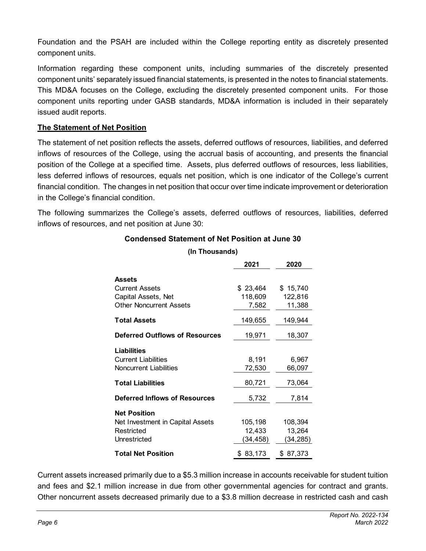Foundation and the PSAH are included within the College reporting entity as discretely presented component units.

Information regarding these component units, including summaries of the discretely presented component units' separately issued financial statements, is presented in the notes to financial statements. This MD&A focuses on the College, excluding the discretely presented component units. For those component units reporting under GASB standards, MD&A information is included in their separately issued audit reports.

## **The Statement of Net Position**

The statement of net position reflects the assets, deferred outflows of resources, liabilities, and deferred inflows of resources of the College, using the accrual basis of accounting, and presents the financial position of the College at a specified time. Assets, plus deferred outflows of resources, less liabilities, less deferred inflows of resources, equals net position, which is one indicator of the College's current financial condition. The changes in net position that occur over time indicate improvement or deterioration in the College's financial condition.

The following summarizes the College's assets, deferred outflows of resources, liabilities, deferred inflows of resources, and net position at June 30:

|                                       | 2021     | 2020      |
|---------------------------------------|----------|-----------|
| <b>Assets</b>                         |          |           |
| <b>Current Assets</b>                 | \$23,464 | \$15,740  |
| Capital Assets, Net                   | 118,609  | 122,816   |
| <b>Other Noncurrent Assets</b>        | 7,582    | 11,388    |
| Total Assets                          | 149,655  | 149,944   |
| <b>Deferred Outflows of Resources</b> | 19,971   | 18,307    |
| Liabilities                           |          |           |
| <b>Current Liabilities</b>            | 8,191    | 6,967     |
| <b>Noncurrent Liabilities</b>         | 72,530   | 66,097    |
| <b>Total Liabilities</b>              | 80,721   | 73,064    |
| Deferred Inflows of Resources         | 5,732    | 7,814     |
| <b>Net Position</b>                   |          |           |
| Net Investment in Capital Assets      | 105,198  | 108,394   |
| Restricted                            | 12,433   | 13,264    |
| Unrestricted                          | (34,458) | (34, 285) |
| <b>Total Net Position</b>             | \$83,173 | \$87,373  |

### **Condensed Statement of Net Position at June 30**

**(In Thousands)** 

Current assets increased primarily due to a \$5.3 million increase in accounts receivable for student tuition and fees and \$2.1 million increase in due from other governmental agencies for contract and grants. Other noncurrent assets decreased primarily due to a \$3.8 million decrease in restricted cash and cash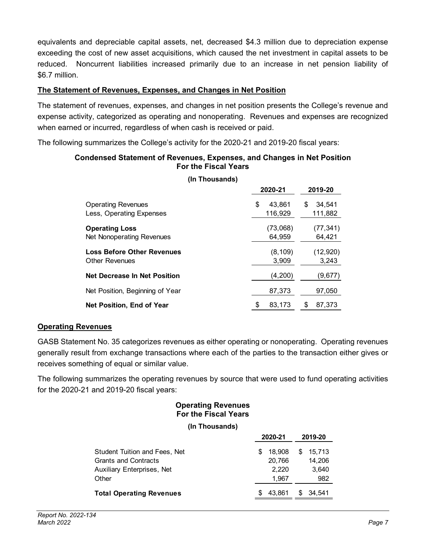equivalents and depreciable capital assets, net, decreased \$4.3 million due to depreciation expense exceeding the cost of new asset acquisitions, which caused the net investment in capital assets to be reduced. Noncurrent liabilities increased primarily due to an increase in net pension liability of \$6.7 million.

# **The Statement of Revenues, Expenses, and Changes in Net Position**

The statement of revenues, expenses, and changes in net position presents the College's revenue and expense activity, categorized as operating and nonoperating. Revenues and expenses are recognized when earned or incurred, regardless of when cash is received or paid.

The following summarizes the College's activity for the 2020-21 and 2019-20 fiscal years:

### **Condensed Statement of Revenues, Expenses, and Changes in Net Position For the Fiscal Years**

|                                                            | 2019-20                 |                        |  |
|------------------------------------------------------------|-------------------------|------------------------|--|
| <b>Operating Revenues</b><br>Less, Operating Expenses      | \$<br>43.861<br>116,929 | 34.541<br>S<br>111,882 |  |
| <b>Operating Loss</b><br>Net Nonoperating Revenues         | (73,068)<br>64,959      | (77,341)<br>64,421     |  |
| <b>Loss Before Other Revenues</b><br><b>Other Revenues</b> | (8, 109)<br>3,909       | (12,920)<br>3,243      |  |
| <b>Net Decrease In Net Position</b>                        | (4,200)                 | (9,677)                |  |
| Net Position, Beginning of Year                            | 87,373                  | 97,050                 |  |
| Net Position, End of Year                                  | \$<br>83.173            | 87.373<br>S            |  |

**(In Thousands)** 

# **Operating Revenues**

GASB Statement No. 35 categorizes revenues as either operating or nonoperating. Operating revenues generally result from exchange transactions where each of the parties to the transaction either gives or receives something of equal or similar value.

The following summarizes the operating revenues by source that were used to fund operating activities for the 2020-21 and 2019-20 fiscal years:

#### **Operating Revenues For the Fiscal Years**

#### **(In Thousands)**

|                                      | 2020-21 |        | 2019-20 |        |
|--------------------------------------|---------|--------|---------|--------|
| <b>Student Tuition and Fees, Net</b> | S.      | 18.908 | S       | 15.713 |
| <b>Grants and Contracts</b>          |         | 20,766 |         | 14,206 |
| Auxiliary Enterprises, Net           |         | 2.220  |         | 3.640  |
| Other                                |         | 1.967  |         | 982    |
| <b>Total Operating Revenues</b>      | S       | 43.861 | \$      | 34.541 |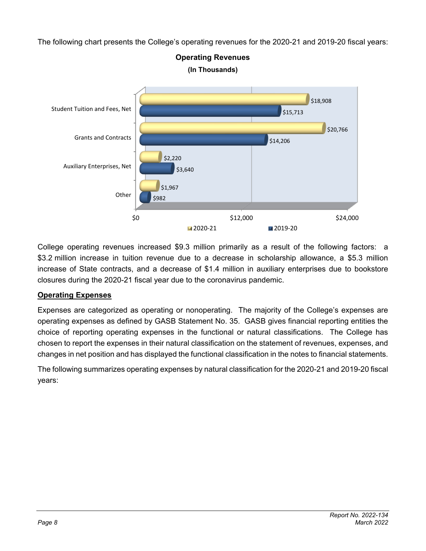The following chart presents the College's operating revenues for the 2020-21 and 2019-20 fiscal years:



College operating revenues increased \$9.3 million primarily as a result of the following factors: a \$3.2 million increase in tuition revenue due to a decrease in scholarship allowance, a \$5.3 million increase of State contracts, and a decrease of \$1.4 million in auxiliary enterprises due to bookstore closures during the 2020-21 fiscal year due to the coronavirus pandemic.

# **Operating Expenses**

Expenses are categorized as operating or nonoperating. The majority of the College's expenses are operating expenses as defined by GASB Statement No. 35. GASB gives financial reporting entities the choice of reporting operating expenses in the functional or natural classifications. The College has chosen to report the expenses in their natural classification on the statement of revenues, expenses, and changes in net position and has displayed the functional classification in the notes to financial statements.

The following summarizes operating expenses by natural classification for the 2020-21 and 2019-20 fiscal years: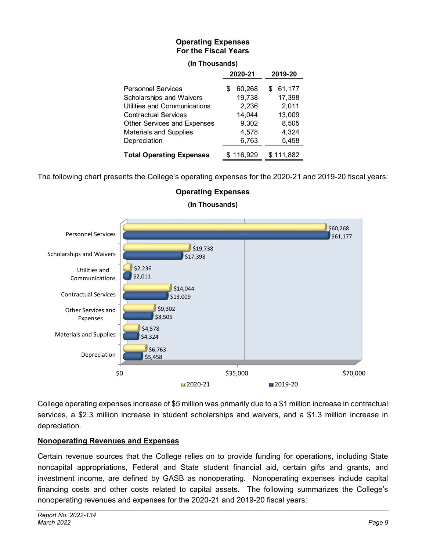# **Operating Expenses For the Fiscal Years**

#### **(In Thousands)**

|                                                                                                                      |   | 2020-21                             |   | 2019-20                             |
|----------------------------------------------------------------------------------------------------------------------|---|-------------------------------------|---|-------------------------------------|
| <b>Personnel Services</b><br>Scholarships and Waivers<br>Utilities and Communications<br><b>Contractual Services</b> | S | 60,268<br>19,738<br>2,236<br>14,044 | S | 61,177<br>17,398<br>2,011<br>13,009 |
| Other Services and Expenses<br><b>Materials and Supplies</b>                                                         |   | 9,302<br>4,578                      |   | 8,505<br>4,324                      |
| Depreciation<br><b>Total Operating Expenses</b>                                                                      |   | 6,763<br>\$116,929                  |   | 5,458<br>\$111,882                  |

The following chart presents the College's operating expenses for the 2020-21 and 2019-20 fiscal years:



# **Operating Expenses**

College operating expenses increase of \$5 million was primarily due to a \$1 million increase in contractual services, a \$2.3 million increase in student scholarships and waivers, and a \$1.3 million increase in depreciation.

# **Nonoperating Revenues and Expenses**

Certain revenue sources that the College relies on to provide funding for operations, including State noncapital appropriations, Federal and State student financial aid, certain gifts and grants, and investment income, are defined by GASB as nonoperating. Nonoperating expenses include capital financing costs and other costs related to capital assets. The following summarizes the College's nonoperating revenues and expenses for the 2020-21 and 2019-20 fiscal years: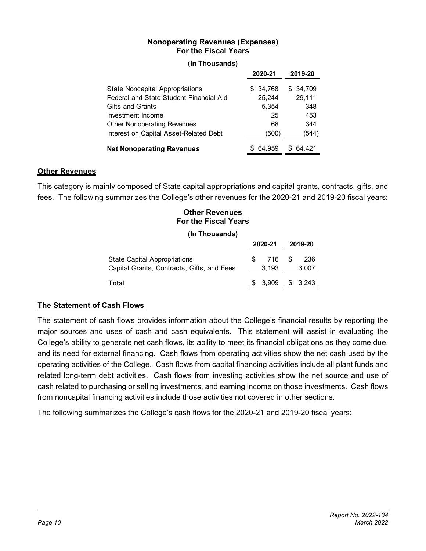#### **Nonoperating Revenues (Expenses) For the Fiscal Years**

|                                         | 2020-21  | 2019-20  |
|-----------------------------------------|----------|----------|
| <b>State Noncapital Appropriations</b>  | \$34,768 | \$34,709 |
| Federal and State Student Financial Aid | 25,244   | 29,111   |
| Gifts and Grants                        | 5,354    | 348      |
| Investment Income                       | 25       | 453      |
| <b>Other Nonoperating Revenues</b>      | 68       | 344      |
| Interest on Capital Asset-Related Debt  | (500)    | (544)    |
| <b>Net Nonoperating Revenues</b>        | 64.959   | 64,421   |

#### **(In Thousands)**

#### **Other Revenues**

This category is mainly composed of State capital appropriations and capital grants, contracts, gifts, and fees. The following summarizes the College's other revenues for the 2020-21 and 2019-20 fiscal years:

# **Other Revenues For the Fiscal Years**

#### **(In Thousands)**

|                                                                                   | 2020-21 |                   | 2019-20 |               |
|-----------------------------------------------------------------------------------|---------|-------------------|---------|---------------|
| <b>State Capital Appropriations</b><br>Capital Grants, Contracts, Gifts, and Fees |         | 716 S<br>3.193    |         | -236<br>3.007 |
| Total                                                                             |         | $$3,909$ $$3,243$ |         |               |

#### **The Statement of Cash Flows**

The statement of cash flows provides information about the College's financial results by reporting the major sources and uses of cash and cash equivalents. This statement will assist in evaluating the College's ability to generate net cash flows, its ability to meet its financial obligations as they come due, and its need for external financing. Cash flows from operating activities show the net cash used by the operating activities of the College. Cash flows from capital financing activities include all plant funds and related long-term debt activities. Cash flows from investing activities show the net source and use of cash related to purchasing or selling investments, and earning income on those investments. Cash flows from noncapital financing activities include those activities not covered in other sections.

The following summarizes the College's cash flows for the 2020-21 and 2019-20 fiscal years: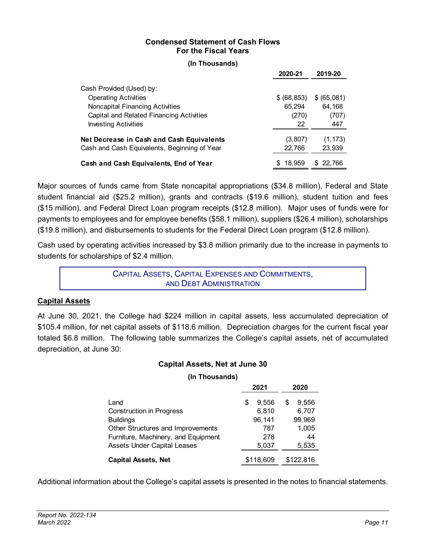#### **Condensed Statement of Cash Flows For the Fiscal Years**

**(In Thousands)** 

**2020-21 2019-20**

| Cash Provided (Used) by:<br><b>Operating Activities</b> | \$ (68, 853) | \$ (65,081)  |
|---------------------------------------------------------|--------------|--------------|
| <b>Noncapital Financing Activities</b>                  | 65,294       | 64,168       |
| <b>Capital and Related Financing Activities</b>         | (270)        | (707)        |
| <b>Investing Activities</b>                             | 22           | 447          |
| Net Decrease in Cash and Cash Equivalents               | (3,807)      | (1, 173)     |
| Cash and Cash Equivalents, Beginning of Year            | 22,766       | 23,939       |
| Cash and Cash Equivalents, End of Year                  | 18.959<br>S  | 22.766<br>S. |

Major sources of funds came from State noncapital appropriations (\$34.8 million), Federal and State student financial aid (\$25.2 million), grants and contracts (\$19.6 million), student tuition and fees (\$15 million), and Federal Direct Loan program receipts (\$12.8 million). Major uses of funds were for payments to employees and for employee benefits (\$58.1 million), suppliers (\$26.4 million), scholarships (\$19.8 million), and disbursements to students for the Federal Direct Loan program (\$12.8 million).

Cash used by operating activities increased by \$3.8 million primarily due to the increase in payments to students for scholarships of \$2.4 million.

> CAPITAL ASSETS, CAPITAL EXPENSES AND COMMITMENTS, AND DEBT ADMINISTRATION

# **Capital Assets**

At June 30, 2021, the College had \$224 million in capital assets, less accumulated depreciation of \$105.4 million, for net capital assets of \$118.6 million. Depreciation charges for the current fiscal year totaled \$6.8 million. The following table summarizes the College's capital assets, net of accumulated depreciation, at June 30:

# **Capital Assets, Net at June 30**

#### **(In Thousands)**

|                                     | 2021 |           | 2020        |
|-------------------------------------|------|-----------|-------------|
| Land                                | S    | 9,556     | \$<br>9,556 |
| <b>Construction in Progress</b>     |      | 6,810     | 6,707       |
| <b>Buildings</b>                    |      | 96,141    | 99,969      |
| Other Structures and Improvements   |      | 787       | 1,005       |
| Furniture, Machinery, and Equipment |      | 278       | 44          |
| <b>Assets Under Capital Leases</b>  |      | 5,037     | 5,535       |
| <b>Capital Assets, Net</b>          |      | \$118,609 | \$122,816   |

Additional information about the College's capital assets is presented in the notes to financial statements.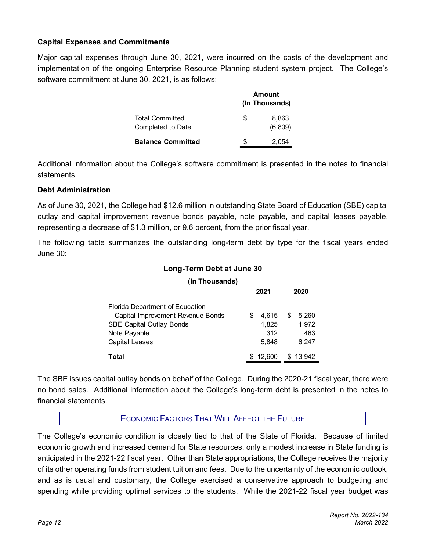# **Capital Expenses and Commitments**

Major capital expenses through June 30, 2021, were incurred on the costs of the development and implementation of the ongoing Enterprise Resource Planning student system project. The College's software commitment at June 30, 2021, is as follows:

|                                             | Amount<br>(In Thousands) |  |  |  |
|---------------------------------------------|--------------------------|--|--|--|
| <b>Total Committed</b><br>Completed to Date | \$<br>8,863<br>(6,809)   |  |  |  |
| <b>Balance Committed</b>                    | \$<br>2.054              |  |  |  |

Additional information about the College's software commitment is presented in the notes to financial statements.

# **Debt Administration**

As of June 30, 2021, the College had \$12.6 million in outstanding State Board of Education (SBE) capital outlay and capital improvement revenue bonds payable, note payable, and capital leases payable, representing a decrease of \$1.3 million, or 9.6 percent, from the prior fiscal year.

The following table summarizes the outstanding long-term debt by type for the fiscal years ended June 30:

#### **Long-Term Debt at June 30 (In Thousands)**

| ,                                 |      |          |   |          |
|-----------------------------------|------|----------|---|----------|
|                                   | 2021 |          |   | 2020     |
| Florida Department of Education   |      |          |   |          |
| Capital Improvement Revenue Bonds | S    | 4.615    | S | 5.260    |
| <b>SBE Capital Outlay Bonds</b>   |      | 1,825    |   | 1,972    |
| Note Payable                      |      | 312      |   | 463      |
| <b>Capital Leases</b>             |      | 5,848    |   | 6,247    |
| Total                             |      | \$12,600 |   | \$13.942 |

The SBE issues capital outlay bonds on behalf of the College. During the 2020-21 fiscal year, there were no bond sales. Additional information about the College's long-term debt is presented in the notes to financial statements.

ECONOMIC FACTORS THAT WILL AFFECT THE FUTURE

The College's economic condition is closely tied to that of the State of Florida. Because of limited economic growth and increased demand for State resources, only a modest increase in State funding is anticipated in the 2021-22 fiscal year. Other than State appropriations, the College receives the majority of its other operating funds from student tuition and fees. Due to the uncertainty of the economic outlook, and as is usual and customary, the College exercised a conservative approach to budgeting and spending while providing optimal services to the students. While the 2021-22 fiscal year budget was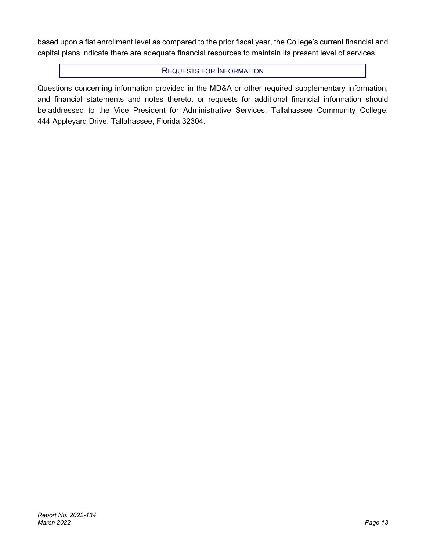based upon a flat enrollment level as compared to the prior fiscal year, the College's current financial and capital plans indicate there are adequate financial resources to maintain its present level of services.

# REQUESTS FOR INFORMATION

Questions concerning information provided in the MD&A or other required supplementary information, and financial statements and notes thereto, or requests for additional financial information should be addressed to the Vice President for Administrative Services, Tallahassee Community College, 444 Appleyard Drive, Tallahassee, Florida 32304.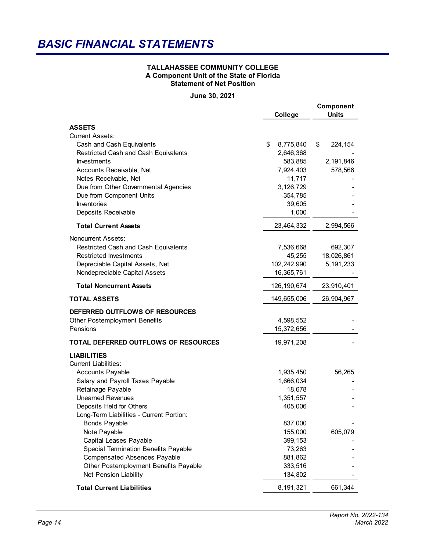# <span id="page-17-0"></span>*BASIC FINANCIAL STATEMENTS*

#### **TALLAHASSEE COMMUNITY COLLEGE A Component Unit of the State of Florida Statement of Net Position**

**June 30, 2021** 

|                                                   |                 | Component     |
|---------------------------------------------------|-----------------|---------------|
|                                                   | College         | <b>Units</b>  |
| <b>ASSETS</b>                                     |                 |               |
| Current Assets:                                   |                 |               |
| Cash and Cash Equivalents                         | \$<br>8,775,840 | \$<br>224,154 |
| Restricted Cash and Cash Equivalents              | 2,646,368       |               |
| Investments                                       | 583,885         | 2,191,846     |
| Accounts Receivable, Net                          | 7,924,403       | 578,566       |
| Notes Receivable, Net                             | 11,717          |               |
| Due from Other Governmental Agencies              | 3,126,729       |               |
| Due from Component Units                          | 354,785         |               |
| Inventories                                       | 39,605          |               |
| Deposits Receivable                               | 1,000           |               |
| <b>Total Current Assets</b>                       | 23,464,332      | 2,994,566     |
| Noncurrent Assets:                                |                 |               |
| Restricted Cash and Cash Equivalents              | 7,536,668       | 692,307       |
| <b>Restricted Investments</b>                     | 45,255          | 18,026,861    |
| Depreciable Capital Assets, Net                   | 102,242,990     | 5, 191, 233   |
| Nondepreciable Capital Assets                     | 16,365,761      |               |
| <b>Total Noncurrent Assets</b>                    | 126, 190, 674   | 23,910,401    |
| TOTAL ASSETS                                      | 149,655,006     | 26,904,967    |
| DEFERRED OUTFLOWS OF RESOURCES                    |                 |               |
| <b>Other Postemployment Benefits</b>              | 4,598,552       |               |
| Pensions                                          | 15,372,656      |               |
| <b>TOTAL DEFERRED OUTFLOWS OF RESOURCES</b>       | 19,971,208      |               |
|                                                   |                 |               |
| <b>LIABILITIES</b><br><b>Current Liabilities:</b> |                 |               |
| <b>Accounts Payable</b>                           | 1,935,450       | 56,265        |
| Salary and Payroll Taxes Payable                  | 1,666,034       |               |
| Retainage Payable                                 | 18,678          |               |
| <b>Unearned Revenues</b>                          | 1,351,557       |               |
| Deposits Held for Others                          | 405,006         |               |
| Long-Term Liabilities - Current Portion:          |                 |               |
| <b>Bonds Payable</b>                              | 837,000         |               |
| Note Payable                                      | 155,000         | 605,079       |
| Capital Leases Payable                            | 399,153         |               |
| Special Termination Benefits Payable              | 73,263          |               |
| <b>Compensated Absences Payable</b>               | 881,862         |               |
| Other Postemployment Benefits Payable             | 333,516         |               |
| Net Pension Liability                             | 134,802         |               |
| <b>Total Current Liabilities</b>                  | 8,191,321       | 661,344       |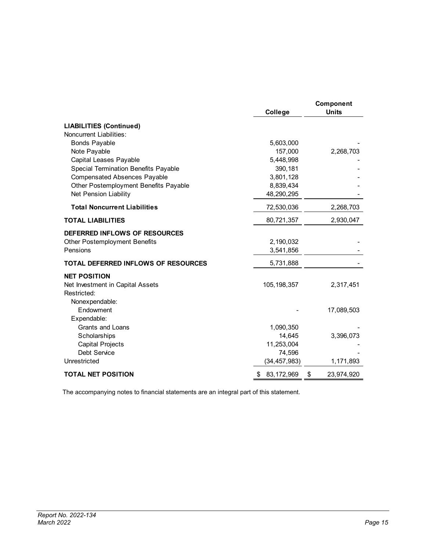|                                             |                | Component        |
|---------------------------------------------|----------------|------------------|
|                                             | College        | <b>Units</b>     |
| <b>LIABILITIES (Continued)</b>              |                |                  |
| Noncurrent Liabilities:                     |                |                  |
| <b>Bonds Payable</b>                        | 5,603,000      |                  |
| Note Payable                                | 157,000        | 2,268,703        |
| Capital Leases Payable                      | 5,448,998      |                  |
| <b>Special Termination Benefits Payable</b> | 390,181        |                  |
| <b>Compensated Absences Payable</b>         | 3,801,128      |                  |
| Other Postemployment Benefits Payable       | 8,839,434      |                  |
| Net Pension Liability                       | 48,290,295     |                  |
| <b>Total Noncurrent Liabilities</b>         | 72,530,036     | 2,268,703        |
| <b>TOTAL LIABILITIES</b>                    | 80,721,357     | 2,930,047        |
| DEFERRED INFLOWS OF RESOURCES               |                |                  |
| <b>Other Postemployment Benefits</b>        | 2,190,032      |                  |
| Pensions                                    | 3,541,856      |                  |
| TOTAL DEFERRED INFLOWS OF RESOURCES         | 5,731,888      |                  |
| <b>NET POSITION</b>                         |                |                  |
| Net Investment in Capital Assets            | 105, 198, 357  | 2,317,451        |
| Restricted:                                 |                |                  |
| Nonexpendable:                              |                |                  |
| Endowment                                   |                | 17,089,503       |
| Expendable:                                 |                |                  |
| <b>Grants and Loans</b>                     | 1,090,350      |                  |
| Scholarships                                | 14,645         | 3,396,073        |
| <b>Capital Projects</b>                     | 11,253,004     |                  |
| Debt Service                                | 74,596         |                  |
| Unrestricted                                | (34, 457, 983) | 1,171,893        |
| <b>TOTAL NET POSITION</b>                   | \$ 83,172,969  | \$<br>23,974,920 |

The accompanying notes to financial statements are an integral part of this statement.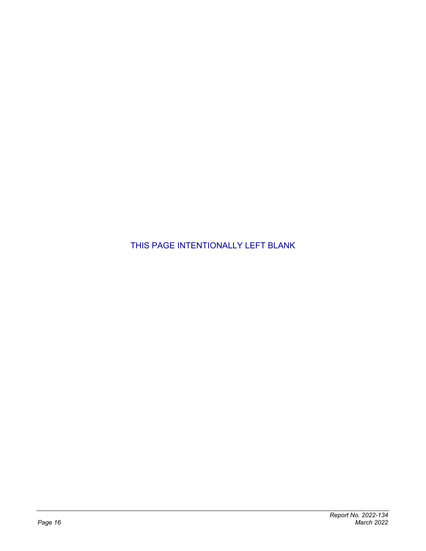THIS PAGE INTENTIONALLY LEFT BLANK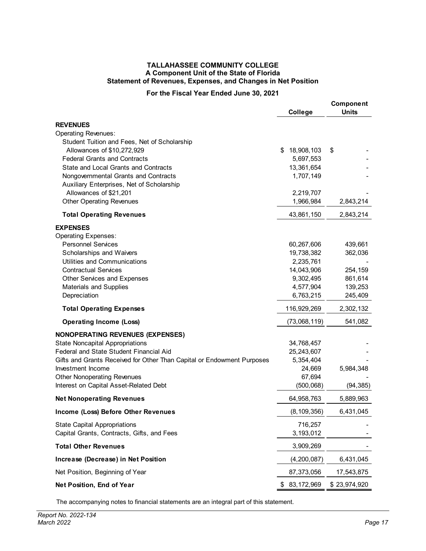#### **TALLAHASSEE COMMUNITY COLLEGE A Component Unit of the State of Florida Statement of Revenues, Expenses, and Changes in Net Position**

#### **For the Fiscal Year Ended June 30, 2021**

<span id="page-20-0"></span>

|                                                                            |                         | Component          |
|----------------------------------------------------------------------------|-------------------------|--------------------|
|                                                                            | College                 | <b>Units</b>       |
| <b>REVENUES</b>                                                            |                         |                    |
| <b>Operating Revenues:</b><br>Student Tuition and Fees, Net of Scholarship |                         |                    |
| Allowances of \$10,272,929                                                 | 18,908,103<br>\$        | \$                 |
| <b>Federal Grants and Contracts</b>                                        | 5,697,553               |                    |
| State and Local Grants and Contracts                                       | 13,361,654              |                    |
| Nongovernmental Grants and Contracts                                       | 1,707,149               |                    |
| Auxiliary Enterprises, Net of Scholarship                                  |                         |                    |
| Allowances of \$21,201                                                     | 2,219,707               |                    |
| <b>Other Operating Revenues</b>                                            | 1,966,984               | 2,843,214          |
| <b>Total Operating Revenues</b>                                            | 43,861,150              | 2,843,214          |
| <b>EXPENSES</b>                                                            |                         |                    |
| <b>Operating Expenses:</b>                                                 |                         |                    |
| <b>Personnel Services</b>                                                  | 60,267,606              | 439,661            |
| Scholarships and Waivers                                                   | 19,738,382              | 362,036            |
| Utilities and Communications                                               | 2,235,761               |                    |
| <b>Contractual Services</b><br>Other Services and Expenses                 | 14,043,906<br>9,302,495 | 254,159<br>861,614 |
| <b>Materials and Supplies</b>                                              | 4,577,904               | 139,253            |
| Depreciation                                                               | 6,763,215               | 245,409            |
| <b>Total Operating Expenses</b>                                            | 116,929,269             | 2,302,132          |
| <b>Operating Income (Loss)</b>                                             | (73,068,119)            | 541,082            |
| <b>NONOPERATING REVENUES (EXPENSES)</b>                                    |                         |                    |
| <b>State Noncapital Appropriations</b>                                     | 34,768,457              |                    |
| Federal and State Student Financial Aid                                    | 25,243,607              |                    |
| Gifts and Grants Received for Other Than Capital or Endowment Purposes     | 5,354,404               |                    |
| Investment Income                                                          | 24,669                  | 5,984,348          |
| <b>Other Nonoperating Revenues</b>                                         | 67,694                  |                    |
| Interest on Capital Asset-Related Debt                                     | (500, 068)              | (94, 385)          |
| <b>Net Nonoperating Revenues</b>                                           | 64,958,763              | 5,889,963          |
| Income (Loss) Before Other Revenues                                        | (8, 109, 356)           | 6,431,045          |
| <b>State Capital Appropriations</b>                                        | 716,257                 |                    |
| Capital Grants, Contracts, Gifts, and Fees                                 | 3,193,012               |                    |
| <b>Total Other Revenues</b>                                                | 3,909,269               |                    |
| Increase (Decrease) in Net Position                                        | (4, 200, 087)           | 6,431,045          |
| Net Position, Beginning of Year                                            | 87,373,056              | 17,543,875         |
| Net Position, End of Year                                                  | \$ 83,172,969           | \$23,974,920       |

The accompanying notes to financial statements are an integral part of this statement.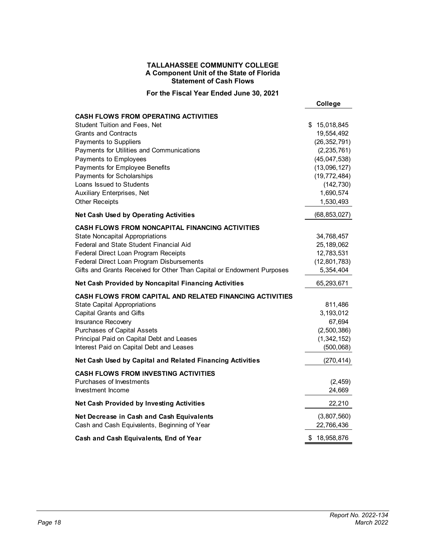#### **TALLAHASSEE COMMUNITY COLLEGE A Component Unit of the State of Florida Statement of Cash Flows**

**For the Fiscal Year Ended June 30, 2021** 

<span id="page-21-0"></span>

|                                                                                                                                                                                                                                                                                                                                                              | College                                                                                                                                                 |
|--------------------------------------------------------------------------------------------------------------------------------------------------------------------------------------------------------------------------------------------------------------------------------------------------------------------------------------------------------------|---------------------------------------------------------------------------------------------------------------------------------------------------------|
| <b>CASH FLOWS FROM OPERATING ACTIVITIES</b><br>Student Tuition and Fees, Net<br><b>Grants and Contracts</b><br>Payments to Suppliers<br>Payments for Utilities and Communications<br>Payments to Employees<br>Payments for Employee Benefits<br>Payments for Scholarships<br>Loans Issued to Students<br>Auxiliary Enterprises, Net<br><b>Other Receipts</b> | \$15,018,845<br>19,554,492<br>(26, 352, 791)<br>(2, 235, 761)<br>(45,047,538)<br>(13,096,127)<br>(19, 772, 484)<br>(142, 730)<br>1,690,574<br>1,530,493 |
| <b>Net Cash Used by Operating Activities</b>                                                                                                                                                                                                                                                                                                                 | (68, 853, 027)                                                                                                                                          |
| <b>CASH FLOWS FROM NONCAPITAL FINANCING ACTIVITIES</b><br><b>State Noncapital Appropriations</b><br>Federal and State Student Financial Aid<br>Federal Direct Loan Program Receipts<br>Federal Direct Loan Program Disbursements<br>Gifts and Grants Received for Other Than Capital or Endowment Purposes                                                   | 34,768,457<br>25,189,062<br>12,783,531<br>(12, 801, 783)<br>5,354,404                                                                                   |
| Net Cash Provided by Noncapital Financing Activities                                                                                                                                                                                                                                                                                                         | 65,293,671                                                                                                                                              |
| CASH FLOWS FROM CAPITAL AND RELATED FINANCING ACTIVITIES<br><b>State Capital Appropriations</b><br><b>Capital Grants and Gifts</b><br>Insurance Recovery<br><b>Purchases of Capital Assets</b><br>Principal Paid on Capital Debt and Leases<br>Interest Paid on Capital Debt and Leases                                                                      | 811,486<br>3,193,012<br>67,694<br>(2,500,386)<br>(1,342,152)<br>(500, 068)                                                                              |
| Net Cash Used by Capital and Related Financing Activities                                                                                                                                                                                                                                                                                                    | (270, 414)                                                                                                                                              |
| <b>CASH FLOWS FROM INVESTING ACTIVITIES</b><br>Purchases of Investments<br>Investment Income                                                                                                                                                                                                                                                                 | (2, 459)<br>24,669                                                                                                                                      |
| <b>Net Cash Provided by Investing Activities</b>                                                                                                                                                                                                                                                                                                             | 22,210                                                                                                                                                  |
| Net Decrease in Cash and Cash Equivalents<br>Cash and Cash Equivalents, Beginning of Year                                                                                                                                                                                                                                                                    | (3,807,560)<br>22,766,436                                                                                                                               |
| Cash and Cash Equivalents, End of Year                                                                                                                                                                                                                                                                                                                       | \$18,958,876                                                                                                                                            |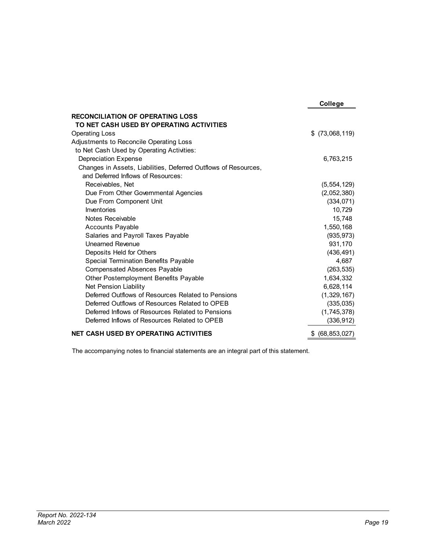|                                                                                                       | College             |
|-------------------------------------------------------------------------------------------------------|---------------------|
| <b>RECONCILIATION OF OPERATING LOSS</b>                                                               |                     |
| TO NET CASH USED BY OPERATING ACTIVITIES                                                              |                     |
| <b>Operating Loss</b>                                                                                 | $$^{(73,068,119)}$$ |
| Adjustments to Reconcile Operating Loss                                                               |                     |
| to Net Cash Used by Operating Activities:                                                             |                     |
| <b>Depreciation Expense</b>                                                                           | 6,763,215           |
| Changes in Assets, Liabilities, Deferred Outflows of Resources,<br>and Deferred Inflows of Resources: |                     |
| Receivables, Net                                                                                      | (5, 554, 129)       |
| Due From Other Governmental Agencies                                                                  | (2,052,380)         |
| Due From Component Unit                                                                               | (334, 071)          |
| Inventories                                                                                           | 10,729              |
| Notes Receivable                                                                                      | 15,748              |
| <b>Accounts Payable</b>                                                                               | 1,550,168           |
| Salaries and Payroll Taxes Payable                                                                    | (935, 973)          |
| <b>Unearned Revenue</b>                                                                               | 931,170             |
| Deposits Held for Others                                                                              | (436, 491)          |
| Special Termination Benefits Payable                                                                  | 4,687               |
| <b>Compensated Absences Payable</b>                                                                   | (263, 535)          |
| Other Postemployment Benefits Payable                                                                 | 1,634,332           |
| <b>Net Pension Liability</b>                                                                          | 6,628,114           |
| Deferred Outflows of Resources Related to Pensions                                                    | (1,329,167)         |
| Deferred Outflows of Resources Related to OPEB                                                        | (335, 035)          |
| Deferred Inflows of Resources Related to Pensions                                                     | (1,745,378)         |
| Deferred Inflows of Resources Related to OPEB                                                         | (336, 912)          |
| <b>NET CASH USED BY OPERATING ACTIVITIES</b>                                                          | \$ (68, 853, 027)   |

The accompanying notes to financial statements are an integral part of this statement.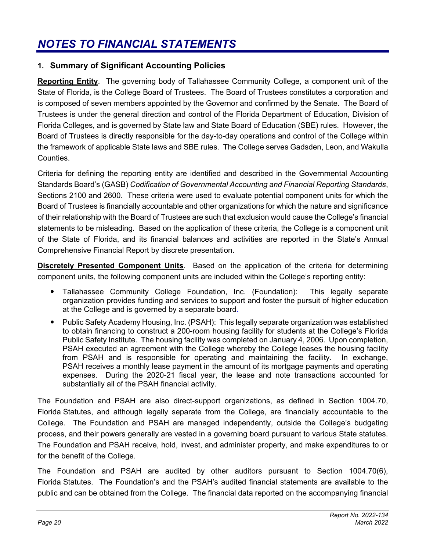# <span id="page-23-0"></span>*NOTES TO FINANCIAL STATEMENTS*

# **1. Summary of Significant Accounting Policies**

**Reporting Entity**. The governing body of Tallahassee Community College, a component unit of the State of Florida, is the College Board of Trustees. The Board of Trustees constitutes a corporation and is composed of seven members appointed by the Governor and confirmed by the Senate. The Board of Trustees is under the general direction and control of the Florida Department of Education, Division of Florida Colleges, and is governed by State law and State Board of Education (SBE) rules. However, the Board of Trustees is directly responsible for the day-to-day operations and control of the College within the framework of applicable State laws and SBE rules. The College serves Gadsden, Leon, and Wakulla Counties.

Criteria for defining the reporting entity are identified and described in the Governmental Accounting Standards Board's (GASB) *Codification of Governmental Accounting and Financial Reporting Standards*, Sections 2100 and 2600. These criteria were used to evaluate potential component units for which the Board of Trustees is financially accountable and other organizations for which the nature and significance of their relationship with the Board of Trustees are such that exclusion would cause the College's financial statements to be misleading. Based on the application of these criteria, the College is a component unit of the State of Florida, and its financial balances and activities are reported in the State's Annual Comprehensive Financial Report by discrete presentation.

**Discretely Presented Component Units**. Based on the application of the criteria for determining component units, the following component units are included within the College's reporting entity:

- Tallahassee Community College Foundation, Inc. (Foundation): This legally separate organization provides funding and services to support and foster the pursuit of higher education at the College and is governed by a separate board.
- Public Safety Academy Housing, Inc. (PSAH): This legally separate organization was established to obtain financing to construct a 200-room housing facility for students at the College's Florida Public Safety Institute. The housing facility was completed on January 4, 2006. Upon completion, PSAH executed an agreement with the College whereby the College leases the housing facility from PSAH and is responsible for operating and maintaining the facility. In exchange, PSAH receives a monthly lease payment in the amount of its mortgage payments and operating expenses. During the 2020-21 fiscal year, the lease and note transactions accounted for substantially all of the PSAH financial activity.

The Foundation and PSAH are also direct-support organizations, as defined in Section 1004.70, Florida Statutes, and although legally separate from the College, are financially accountable to the College. The Foundation and PSAH are managed independently, outside the College's budgeting process, and their powers generally are vested in a governing board pursuant to various State statutes. The Foundation and PSAH receive, hold, invest, and administer property, and make expenditures to or for the benefit of the College.

The Foundation and PSAH are audited by other auditors pursuant to Section 1004.70(6), Florida Statutes. The Foundation's and the PSAH's audited financial statements are available to the public and can be obtained from the College. The financial data reported on the accompanying financial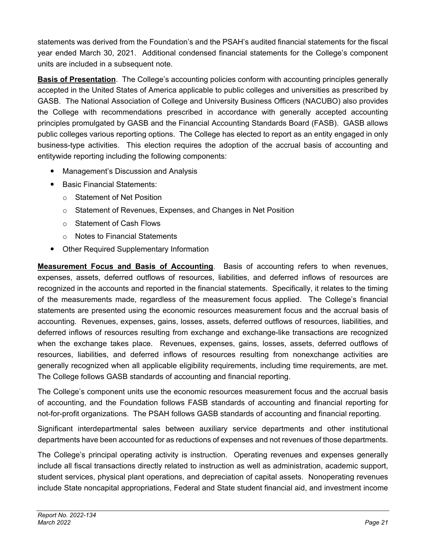statements was derived from the Foundation's and the PSAH's audited financial statements for the fiscal year ended March 30, 2021. Additional condensed financial statements for the College's component units are included in a subsequent note.

**Basis of Presentation**. The College's accounting policies conform with accounting principles generally accepted in the United States of America applicable to public colleges and universities as prescribed by GASB. The National Association of College and University Business Officers (NACUBO) also provides the College with recommendations prescribed in accordance with generally accepted accounting principles promulgated by GASB and the Financial Accounting Standards Board (FASB). GASB allows public colleges various reporting options. The College has elected to report as an entity engaged in only business-type activities. This election requires the adoption of the accrual basis of accounting and entitywide reporting including the following components:

- Management's Discussion and Analysis
- Basic Financial Statements:
	- o Statement of Net Position
	- o Statement of Revenues, Expenses, and Changes in Net Position
	- o Statement of Cash Flows
	- o Notes to Financial Statements
- Other Required Supplementary Information

**Measurement Focus and Basis of Accounting**. Basis of accounting refers to when revenues, expenses, assets, deferred outflows of resources, liabilities, and deferred inflows of resources are recognized in the accounts and reported in the financial statements. Specifically, it relates to the timing of the measurements made, regardless of the measurement focus applied. The College's financial statements are presented using the economic resources measurement focus and the accrual basis of accounting. Revenues, expenses, gains, losses, assets, deferred outflows of resources, liabilities, and deferred inflows of resources resulting from exchange and exchange-like transactions are recognized when the exchange takes place. Revenues, expenses, gains, losses, assets, deferred outflows of resources, liabilities, and deferred inflows of resources resulting from nonexchange activities are generally recognized when all applicable eligibility requirements, including time requirements, are met. The College follows GASB standards of accounting and financial reporting.

The College's component units use the economic resources measurement focus and the accrual basis of accounting, and the Foundation follows FASB standards of accounting and financial reporting for not-for-profit organizations. The PSAH follows GASB standards of accounting and financial reporting.

Significant interdepartmental sales between auxiliary service departments and other institutional departments have been accounted for as reductions of expenses and not revenues of those departments.

The College's principal operating activity is instruction. Operating revenues and expenses generally include all fiscal transactions directly related to instruction as well as administration, academic support, student services, physical plant operations, and depreciation of capital assets. Nonoperating revenues include State noncapital appropriations, Federal and State student financial aid, and investment income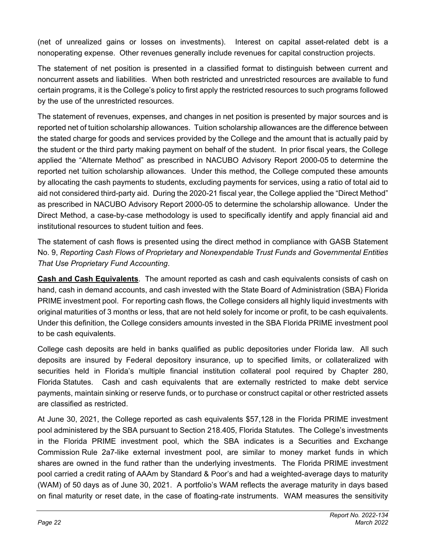(net of unrealized gains or losses on investments). Interest on capital asset-related debt is a nonoperating expense. Other revenues generally include revenues for capital construction projects.

The statement of net position is presented in a classified format to distinguish between current and noncurrent assets and liabilities. When both restricted and unrestricted resources are available to fund certain programs, it is the College's policy to first apply the restricted resources to such programs followed by the use of the unrestricted resources.

The statement of revenues, expenses, and changes in net position is presented by major sources and is reported net of tuition scholarship allowances. Tuition scholarship allowances are the difference between the stated charge for goods and services provided by the College and the amount that is actually paid by the student or the third party making payment on behalf of the student. In prior fiscal years, the College applied the "Alternate Method" as prescribed in NACUBO Advisory Report 2000-05 to determine the reported net tuition scholarship allowances. Under this method, the College computed these amounts by allocating the cash payments to students, excluding payments for services, using a ratio of total aid to aid not considered third-party aid. During the 2020-21 fiscal year, the College applied the "Direct Method" as prescribed in NACUBO Advisory Report 2000-05 to determine the scholarship allowance. Under the Direct Method, a case-by-case methodology is used to specifically identify and apply financial aid and institutional resources to student tuition and fees.

The statement of cash flows is presented using the direct method in compliance with GASB Statement No. 9, *Reporting Cash Flows of Proprietary and Nonexpendable Trust Funds and Governmental Entities That Use Proprietary Fund Accounting*.

**Cash and Cash Equivalents**. The amount reported as cash and cash equivalents consists of cash on hand, cash in demand accounts, and cash invested with the State Board of Administration (SBA) Florida PRIME investment pool. For reporting cash flows, the College considers all highly liquid investments with original maturities of 3 months or less, that are not held solely for income or profit, to be cash equivalents. Under this definition, the College considers amounts invested in the SBA Florida PRIME investment pool to be cash equivalents.

College cash deposits are held in banks qualified as public depositories under Florida law. All such deposits are insured by Federal depository insurance, up to specified limits, or collateralized with securities held in Florida's multiple financial institution collateral pool required by Chapter 280, Florida Statutes. Cash and cash equivalents that are externally restricted to make debt service payments, maintain sinking or reserve funds, or to purchase or construct capital or other restricted assets are classified as restricted.

At June 30, 2021, the College reported as cash equivalents \$57,128 in the Florida PRIME investment pool administered by the SBA pursuant to Section 218.405, Florida Statutes. The College's investments in the Florida PRIME investment pool, which the SBA indicates is a Securities and Exchange Commission Rule 2a7-like external investment pool, are similar to money market funds in which shares are owned in the fund rather than the underlying investments. The Florida PRIME investment pool carried a credit rating of AAAm by Standard & Poor's and had a weighted-average days to maturity (WAM) of 50 days as of June 30, 2021. A portfolio's WAM reflects the average maturity in days based on final maturity or reset date, in the case of floating-rate instruments. WAM measures the sensitivity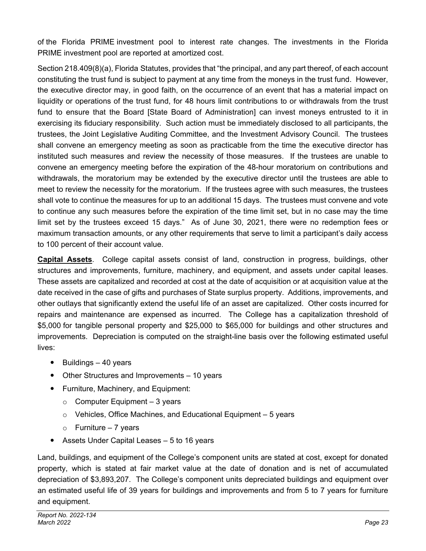of the Florida PRIME investment pool to interest rate changes. The investments in the Florida PRIME investment pool are reported at amortized cost.

Section 218.409(8)(a), Florida Statutes, provides that "the principal, and any part thereof, of each account constituting the trust fund is subject to payment at any time from the moneys in the trust fund. However, the executive director may, in good faith, on the occurrence of an event that has a material impact on liquidity or operations of the trust fund, for 48 hours limit contributions to or withdrawals from the trust fund to ensure that the Board [State Board of Administration] can invest moneys entrusted to it in exercising its fiduciary responsibility. Such action must be immediately disclosed to all participants, the trustees, the Joint Legislative Auditing Committee, and the Investment Advisory Council. The trustees shall convene an emergency meeting as soon as practicable from the time the executive director has instituted such measures and review the necessity of those measures. If the trustees are unable to convene an emergency meeting before the expiration of the 48-hour moratorium on contributions and withdrawals, the moratorium may be extended by the executive director until the trustees are able to meet to review the necessity for the moratorium. If the trustees agree with such measures, the trustees shall vote to continue the measures for up to an additional 15 days. The trustees must convene and vote to continue any such measures before the expiration of the time limit set, but in no case may the time limit set by the trustees exceed 15 days." As of June 30, 2021, there were no redemption fees or maximum transaction amounts, or any other requirements that serve to limit a participant's daily access to 100 percent of their account value.

**Capital Assets**. College capital assets consist of land, construction in progress, buildings, other structures and improvements, furniture, machinery, and equipment, and assets under capital leases. These assets are capitalized and recorded at cost at the date of acquisition or at acquisition value at the date received in the case of gifts and purchases of State surplus property. Additions, improvements, and other outlays that significantly extend the useful life of an asset are capitalized. Other costs incurred for repairs and maintenance are expensed as incurred. The College has a capitalization threshold of \$5,000 for tangible personal property and \$25,000 to \$65,000 for buildings and other structures and improvements. Depreciation is computed on the straight-line basis over the following estimated useful lives:

- $\bullet$  Buildings  $-$  40 years
- Other Structures and Improvements 10 years
- Furniture, Machinery, and Equipment:
	- $\circ$  Computer Equipment 3 years
	- $\circ$  Vehicles, Office Machines, and Educational Equipment 5 years
	- $\circ$  Furniture 7 years
- Assets Under Capital Leases 5 to 16 years

Land, buildings, and equipment of the College's component units are stated at cost, except for donated property, which is stated at fair market value at the date of donation and is net of accumulated depreciation of \$3,893,207. The College's component units depreciated buildings and equipment over an estimated useful life of 39 years for buildings and improvements and from 5 to 7 years for furniture and equipment.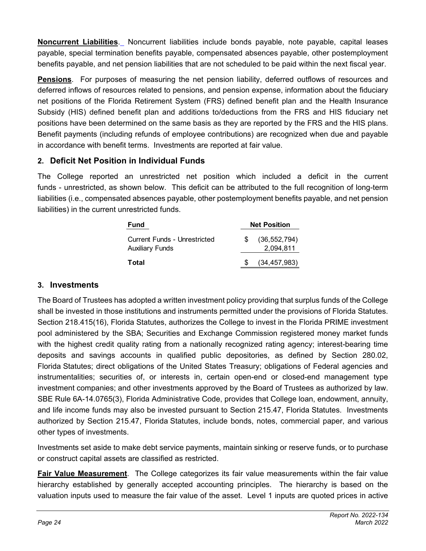**Noncurrent Liabilities**. Noncurrent liabilities include bonds payable, note payable, capital leases payable, special termination benefits payable, compensated absences payable, other postemployment benefits payable, and net pension liabilities that are not scheduled to be paid within the next fiscal year.

**Pensions**. For purposes of measuring the net pension liability, deferred outflows of resources and deferred inflows of resources related to pensions, and pension expense, information about the fiduciary net positions of the Florida Retirement System (FRS) defined benefit plan and the Health Insurance Subsidy (HIS) defined benefit plan and additions to/deductions from the FRS and HIS fiduciary net positions have been determined on the same basis as they are reported by the FRS and the HIS plans. Benefit payments (including refunds of employee contributions) are recognized when due and payable in accordance with benefit terms. Investments are reported at fair value.

# **2. Deficit Net Position in Individual Funds**

The College reported an unrestricted net position which included a deficit in the current funds - unrestricted, as shown below. This deficit can be attributed to the full recognition of long-term liabilities (i.e., compensated absences payable, other postemployment benefits payable, and net pension liabilities) in the current unrestricted funds.

| Fund                                                   | <b>Net Position</b> |                             |  |
|--------------------------------------------------------|---------------------|-----------------------------|--|
| Current Funds - Unrestricted<br><b>Auxiliary Funds</b> |                     | (36, 552, 794)<br>2.094.811 |  |
| Total                                                  |                     | (34, 457, 983)              |  |

# **3. Investments**

The Board of Trustees has adopted a written investment policy providing that surplus funds of the College shall be invested in those institutions and instruments permitted under the provisions of Florida Statutes. Section 218.415(16), Florida Statutes, authorizes the College to invest in the Florida PRIME investment pool administered by the SBA; Securities and Exchange Commission registered money market funds with the highest credit quality rating from a nationally recognized rating agency; interest-bearing time deposits and savings accounts in qualified public depositories, as defined by Section 280.02, Florida Statutes; direct obligations of the United States Treasury; obligations of Federal agencies and instrumentalities; securities of, or interests in, certain open-end or closed-end management type investment companies; and other investments approved by the Board of Trustees as authorized by law. SBE Rule 6A-14.0765(3), Florida Administrative Code, provides that College loan, endowment, annuity, and life income funds may also be invested pursuant to Section 215.47, Florida Statutes. Investments authorized by Section 215.47, Florida Statutes, include bonds, notes, commercial paper, and various other types of investments.

Investments set aside to make debt service payments, maintain sinking or reserve funds, or to purchase or construct capital assets are classified as restricted.

**Fair Value Measurement**. The College categorizes its fair value measurements within the fair value hierarchy established by generally accepted accounting principles. The hierarchy is based on the valuation inputs used to measure the fair value of the asset. Level 1 inputs are quoted prices in active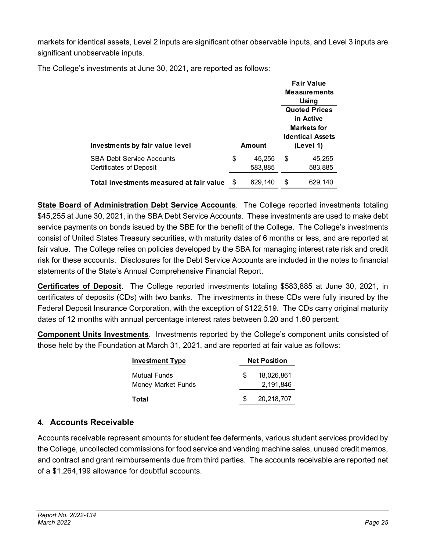markets for identical assets, Level 2 inputs are significant other observable inputs, and Level 3 inputs are significant unobservable inputs.

The College's investments at June 30, 2021, are reported as follows:

|                                                      |                         | <b>Fair Value</b><br><b>Measurements</b><br>Using<br><b>Quoted Prices</b><br>in Active<br><b>Markets for</b><br><b>Identical Assets</b> |
|------------------------------------------------------|-------------------------|-----------------------------------------------------------------------------------------------------------------------------------------|
| Investments by fair value level                      | <b>Amount</b>           | (Level 1)                                                                                                                               |
| SBA Debt Service Accounts<br>Certificates of Deposit | \$<br>45,255<br>583,885 | \$<br>45,255<br>583,885                                                                                                                 |
| Total investments measured at fair value             | 629.140                 | \$<br>629,140                                                                                                                           |

**State Board of Administration Debt Service Accounts**. The College reported investments totaling \$45,255 at June 30, 2021, in the SBA Debt Service Accounts. These investments are used to make debt service payments on bonds issued by the SBE for the benefit of the College. The College's investments consist of United States Treasury securities, with maturity dates of 6 months or less, and are reported at fair value. The College relies on policies developed by the SBA for managing interest rate risk and credit risk for these accounts. Disclosures for the Debt Service Accounts are included in the notes to financial statements of the State's Annual Comprehensive Financial Report.

**Certificates of Deposit**. The College reported investments totaling \$583,885 at June 30, 2021, in certificates of deposits (CDs) with two banks. The investments in these CDs were fully insured by the Federal Deposit Insurance Corporation, with the exception of \$122,519. The CDs carry original maturity dates of 12 months with annual percentage interest rates between 0.20 and 1.60 percent.

**Component Units Investments**. Investments reported by the College's component units consisted of those held by the Foundation at March 31, 2021, and are reported at fair value as follows:

| <b>Investment Type</b>             | <b>Net Position</b> |                         |  |
|------------------------------------|---------------------|-------------------------|--|
| Mutual Funds<br>Money Market Funds | \$.                 | 18.026.861<br>2,191,846 |  |
| Total                              |                     | 20,218,707              |  |

# **4. Accounts Receivable**

Accounts receivable represent amounts for student fee deferments, various student services provided by the College, uncollected commissions for food service and vending machine sales, unused credit memos, and contract and grant reimbursements due from third parties. The accounts receivable are reported net of a \$1,264,199 allowance for doubtful accounts.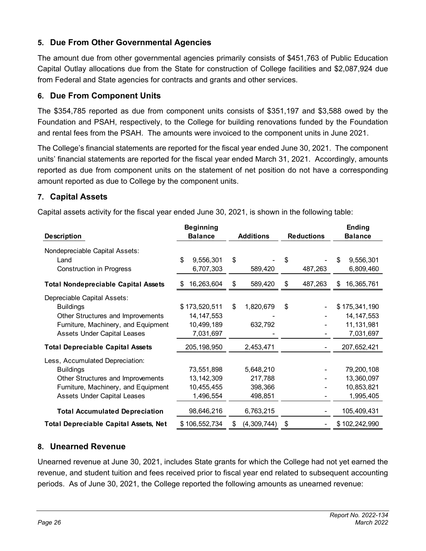# **5. Due From Other Governmental Agencies**

The amount due from other governmental agencies primarily consists of \$451,763 of Public Education Capital Outlay allocations due from the State for construction of College facilities and \$2,087,924 due from Federal and State agencies for contracts and grants and other services.

# **6. Due From Component Units**

The \$354,785 reported as due from component units consists of \$351,197 and \$3,588 owed by the Foundation and PSAH, respectively, to the College for building renovations funded by the Foundation and rental fees from the PSAH. The amounts were invoiced to the component units in June 2021.

The College's financial statements are reported for the fiscal year ended June 30, 2021. The component units' financial statements are reported for the fiscal year ended March 31, 2021. Accordingly, amounts reported as due from component units on the statement of net position do not have a corresponding amount reported as due to College by the component units.

# **7. Capital Assets**

Capital assets activity for the fiscal year ended June 30, 2021, is shown in the following table:

|                                              | <b>Beginning</b> |                   |                   | <b>Ending</b>    |
|----------------------------------------------|------------------|-------------------|-------------------|------------------|
| <b>Description</b>                           | <b>Balance</b>   | <b>Additions</b>  | <b>Reductions</b> | <b>Balance</b>   |
| Nondepreciable Capital Assets:               |                  |                   |                   |                  |
| Land                                         | \$<br>9,556,301  | \$                | \$                | 9,556,301<br>\$  |
| <b>Construction in Progress</b>              | 6,707,303        | 589,420           | 487,263           | 6,809,460        |
| <b>Total Nondepreciable Capital Assets</b>   | 16,263,604<br>\$ | \$<br>589,420     | 487,263<br>\$     | 16,365,761<br>S. |
| Depreciable Capital Assets:                  |                  |                   |                   |                  |
| <b>Buildings</b>                             | \$173,520,511    | \$<br>1,820,679   | \$                | \$175,341,190    |
| Other Structures and Improvements            | 14, 147, 553     |                   |                   | 14, 147, 553     |
| Furniture, Machinery, and Equipment          | 10,499,189       | 632,792           |                   | 11, 131, 981     |
| <b>Assets Under Capital Leases</b>           | 7,031,697        |                   |                   | 7,031,697        |
| <b>Total Depreciable Capital Assets</b>      | 205, 198, 950    | 2,453,471         |                   | 207,652,421      |
| Less, Accumulated Depreciation:              |                  |                   |                   |                  |
| <b>Buildings</b>                             | 73,551,898       | 5,648,210         |                   | 79,200,108       |
| Other Structures and Improvements            | 13, 142, 309     | 217,788           |                   | 13,360,097       |
| Furniture, Machinery, and Equipment          | 10,455,455       | 398,366           |                   | 10,853,821       |
| Assets Under Capital Leases                  | 1,496,554        | 498,851           |                   | 1,995,405        |
| <b>Total Accumulated Depreciation</b>        | 98,646,216       | 6,763,215         |                   | 105,409,431      |
| <b>Total Depreciable Capital Assets, Net</b> | \$106,552,734    | (4,309,744)<br>S. | \$                | \$102,242,990    |

# **8. Unearned Revenue**

Unearned revenue at June 30, 2021, includes State grants for which the College had not yet earned the revenue, and student tuition and fees received prior to fiscal year end related to subsequent accounting periods. As of June 30, 2021, the College reported the following amounts as unearned revenue: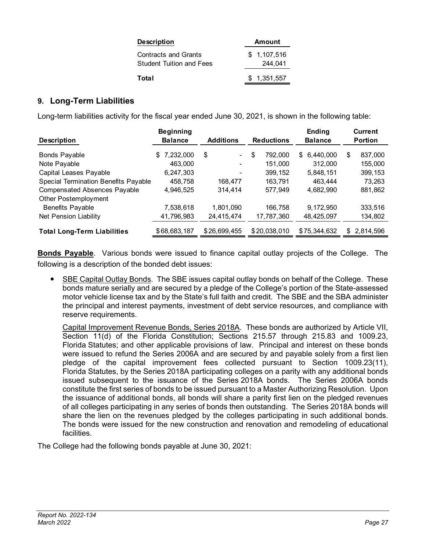| <b>Description</b>                                             | Amount                 |
|----------------------------------------------------------------|------------------------|
| <b>Contracts and Grants</b><br><b>Student Tuition and Fees</b> | \$1.107.516<br>244.041 |
| Total                                                          | \$1,351,557            |

# **9. Long-Term Liabilities**

Long-term liabilities activity for the fiscal year ended June 30, 2021, is shown in the following table:

| <b>Description</b>                   | <b>Beginning</b><br><b>Balance</b> | <b>Additions</b>     | <b>Reductions</b> | <b>Ending</b><br><b>Balance</b> | <b>Current</b><br><b>Portion</b> |
|--------------------------------------|------------------------------------|----------------------|-------------------|---------------------------------|----------------------------------|
| <b>Bonds Payable</b>                 | 7,232,000<br>S.                    | \$<br>$\blacksquare$ | \$<br>792,000     | \$6,440,000                     | \$<br>837,000                    |
| Note Payable                         | 463,000                            | ۰                    | 151,000           | 312,000                         | 155,000                          |
| Capital Leases Payable               | 6,247,303                          | ۰                    | 399,152           | 5,848,151                       | 399,153                          |
| Special Termination Benefits Payable | 458,758                            | 168,477              | 163,791           | 463.444                         | 73,263                           |
| <b>Compensated Absences Payable</b>  | 4,946,525                          | 314.414              | 577.949           | 4,682,990                       | 881,862                          |
| Other Postemployment                 |                                    |                      |                   |                                 |                                  |
| <b>Benefits Payable</b>              | 7,538,618                          | 1,801,090            | 166,758           | 9,172,950                       | 333,516                          |
| <b>Net Pension Liability</b>         | 41,796,983                         | 24,415,474           | 17,787,360        | 48,425,097                      | 134,802                          |
| <b>Total Long-Term Liabilities</b>   | \$68,683,187                       | \$26,699,455         | \$20,038,010      | \$75,344,632                    | 2,814,596<br>\$                  |

**Bonds Payable**. Various bonds were issued to finance capital outlay projects of the College. The following is a description of the bonded debt issues:

• SBE Capital Outlay Bonds. The SBE issues capital outlay bonds on behalf of the College. These bonds mature serially and are secured by a pledge of the College's portion of the State-assessed motor vehicle license tax and by the State's full faith and credit. The SBE and the SBA administer the principal and interest payments, investment of debt service resources, and compliance with reserve requirements.

Capital Improvement Revenue Bonds, Series 2018A. These bonds are authorized by Article VII, Section 11(d) of the Florida Constitution; Sections 215.57 through 215.83 and 1009.23, Florida Statutes; and other applicable provisions of law. Principal and interest on these bonds were issued to refund the Series 2006A and are secured by and payable solely from a first lien pledge of the capital improvement fees collected pursuant to Section 1009.23(11), Florida Statutes, by the Series 2018A participating colleges on a parity with any additional bonds issued subsequent to the issuance of the Series 2018A bonds. The Series 2006A bonds constitute the first series of bonds to be issued pursuant to a Master Authorizing Resolution. Upon the issuance of additional bonds, all bonds will share a parity first lien on the pledged revenues of all colleges participating in any series of bonds then outstanding. The Series 2018A bonds will share the lien on the revenues pledged by the colleges participating in such additional bonds. The bonds were issued for the new construction and renovation and remodeling of educational facilities.

The College had the following bonds payable at June 30, 2021: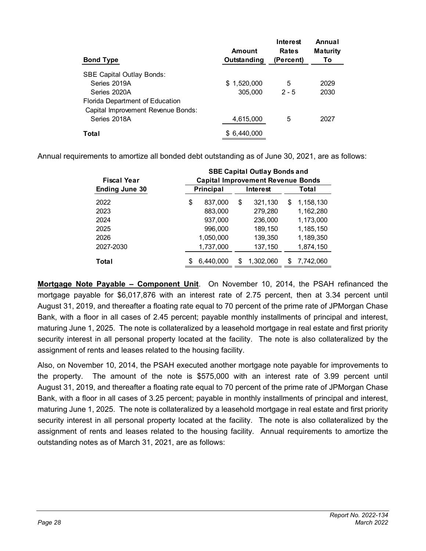| <b>Bond Type</b>                   | Amount<br>Outstanding | Interest<br><b>Rates</b><br>(Percent) | Annual<br><b>Maturity</b><br>To |
|------------------------------------|-----------------------|---------------------------------------|---------------------------------|
| <b>SBE Capital Outlay Bonds:</b>   |                       |                                       |                                 |
| Series 2019A                       | \$1,520,000           | 5                                     | 2029                            |
| Series 2020A                       | 305,000               | $2 - 5$                               | 2030                            |
| Florida Department of Education    |                       |                                       |                                 |
| Capital Improvement Revenue Bonds: |                       |                                       |                                 |
| Series 2018A                       | 4,615,000             | 5                                     | 2027                            |
| Total                              | \$ 6,440,000          |                                       |                                 |

Annual requirements to amortize all bonded debt outstanding as of June 30, 2021, are as follows:

|                       | <b>SBE Capital Outlay Bonds and</b> |           |    |                                          |       |           |
|-----------------------|-------------------------------------|-----------|----|------------------------------------------|-------|-----------|
| <b>Fiscal Year</b>    |                                     |           |    | <b>Capital Improvement Revenue Bonds</b> |       |           |
| <b>Ending June 30</b> |                                     | Principal |    | Interest                                 | Total |           |
| 2022                  | \$                                  | 837,000   | \$ | 321,130                                  | S     | 1,158,130 |
| 2023                  |                                     | 883,000   |    | 279,280                                  |       | 1,162,280 |
| 2024                  |                                     | 937,000   |    | 236,000                                  |       | 1,173,000 |
| 2025                  |                                     | 996,000   |    | 189,150                                  |       | 1,185,150 |
| 2026                  |                                     | 1,050,000 |    | 139,350                                  |       | 1,189,350 |
| 2027-2030             |                                     | 1,737,000 |    | 137,150                                  |       | 1,874,150 |
| Total                 |                                     | 6,440,000 | S  | 1,302,060                                | S.    | 7,742,060 |

**Mortgage Note Payable – Component Unit**. On November 10, 2014, the PSAH refinanced the mortgage payable for \$6,017,876 with an interest rate of 2.75 percent, then at 3.34 percent until August 31, 2019, and thereafter a floating rate equal to 70 percent of the prime rate of JPMorgan Chase Bank, with a floor in all cases of 2.45 percent; payable monthly installments of principal and interest, maturing June 1, 2025. The note is collateralized by a leasehold mortgage in real estate and first priority security interest in all personal property located at the facility. The note is also collateralized by the assignment of rents and leases related to the housing facility.

Also, on November 10, 2014, the PSAH executed another mortgage note payable for improvements to the property. The amount of the note is \$575,000 with an interest rate of 3.99 percent until August 31, 2019, and thereafter a floating rate equal to 70 percent of the prime rate of JPMorgan Chase Bank, with a floor in all cases of 3.25 percent; payable in monthly installments of principal and interest, maturing June 1, 2025. The note is collateralized by a leasehold mortgage in real estate and first priority security interest in all personal property located at the facility. The note is also collateralized by the assignment of rents and leases related to the housing facility. Annual requirements to amortize the outstanding notes as of March 31, 2021, are as follows: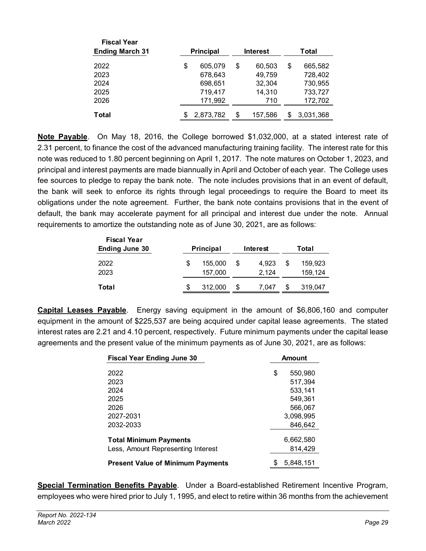| <b>Fiscal Year</b><br><b>Ending March 31</b> | <b>Principal</b> |    | <b>Interest</b> |    | Total     |  |
|----------------------------------------------|------------------|----|-----------------|----|-----------|--|
| 2022                                         | \$<br>605,079    | \$ | 60,503          | \$ | 665,582   |  |
| 2023                                         | 678,643          |    | 49,759          |    | 728,402   |  |
| 2024                                         | 698,651          |    | 32,304          |    | 730,955   |  |
| 2025                                         | 719,417          |    | 14,310          |    | 733,727   |  |
| 2026                                         | 171,992          |    | 710             |    | 172,702   |  |
| Total                                        | 2,873,782        | \$ | 157,586         | S  | 3,031,368 |  |

**Note Payable**. On May 18, 2016, the College borrowed \$1,032,000, at a stated interest rate of 2.31 percent, to finance the cost of the advanced manufacturing training facility. The interest rate for this note was reduced to 1.80 percent beginning on April 1, 2017. The note matures on October 1, 2023, and principal and interest payments are made biannually in April and October of each year. The College uses fee sources to pledge to repay the bank note. The note includes provisions that in an event of default, the bank will seek to enforce its rights through legal proceedings to require the Board to meet its obligations under the note agreement. Further, the bank note contains provisions that in the event of default, the bank may accelerate payment for all principal and interest due under the note. Annual requirements to amortize the outstanding note as of June 30, 2021, are as follows:

| <b>Fiscal Year</b><br><b>Ending June 30</b> | <b>Principal</b>         |    | Interest       |    | Total              |
|---------------------------------------------|--------------------------|----|----------------|----|--------------------|
| 2022<br>2023                                | \$<br>155.000<br>157,000 | \$ | 4.923<br>2.124 | \$ | 159.923<br>159.124 |
| <b>Total</b>                                | 312,000                  | S  | 7.047          | S  | 319,047            |

**Capital Leases Payable**. Energy saving equipment in the amount of \$6,806,160 and computer equipment in the amount of \$225,537 are being acquired under capital lease agreements. The stated interest rates are 2.21 and 4.10 percent, respectively. Future minimum payments under the capital lease agreements and the present value of the minimum payments as of June 30, 2021, are as follows:

| <b>Fiscal Year Ending June 30</b>        | <b>Amount</b> |           |
|------------------------------------------|---------------|-----------|
|                                          |               |           |
| 2022                                     | \$            | 550,980   |
| 2023                                     |               | 517,394   |
| 2024                                     |               | 533,141   |
| 2025                                     |               | 549,361   |
| 2026                                     |               | 566,067   |
| 2027-2031                                |               | 3,098,995 |
| 2032-2033                                |               | 846.642   |
|                                          |               |           |
| <b>Total Minimum Payments</b>            |               | 6,662,580 |
| Less, Amount Representing Interest       |               | 814,429   |
|                                          |               |           |
| <b>Present Value of Minimum Payments</b> |               | 5.848.151 |

**Special Termination Benefits Payable**. Under a Board-established Retirement Incentive Program, employees who were hired prior to July 1, 1995, and elect to retire within 36 months from the achievement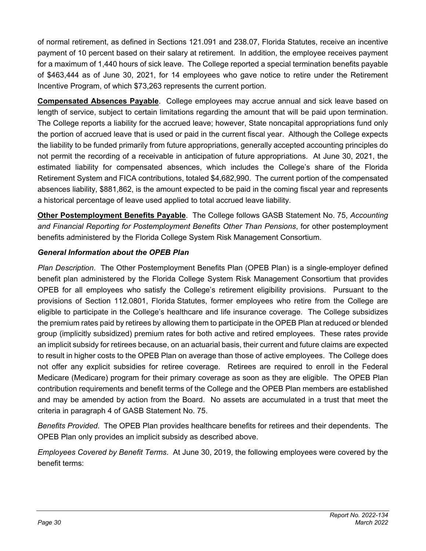of normal retirement, as defined in Sections 121.091 and 238.07, Florida Statutes, receive an incentive payment of 10 percent based on their salary at retirement. In addition, the employee receives payment for a maximum of 1,440 hours of sick leave. The College reported a special termination benefits payable of \$463,444 as of June 30, 2021, for 14 employees who gave notice to retire under the Retirement Incentive Program, of which \$73,263 represents the current portion.

**Compensated Absences Payable**. College employees may accrue annual and sick leave based on length of service, subject to certain limitations regarding the amount that will be paid upon termination. The College reports a liability for the accrued leave; however, State noncapital appropriations fund only the portion of accrued leave that is used or paid in the current fiscal year. Although the College expects the liability to be funded primarily from future appropriations, generally accepted accounting principles do not permit the recording of a receivable in anticipation of future appropriations. At June 30, 2021, the estimated liability for compensated absences, which includes the College's share of the Florida Retirement System and FICA contributions, totaled \$4,682,990. The current portion of the compensated absences liability, \$881,862, is the amount expected to be paid in the coming fiscal year and represents a historical percentage of leave used applied to total accrued leave liability.

**Other Postemployment Benefits Payable**. The College follows GASB Statement No. 75, *Accounting and Financial Reporting for Postemployment Benefits Other Than Pensions*, for other postemployment benefits administered by the Florida College System Risk Management Consortium.

# *General Information about the OPEB Plan*

*Plan Description*. The Other Postemployment Benefits Plan (OPEB Plan) is a single-employer defined benefit plan administered by the Florida College System Risk Management Consortium that provides OPEB for all employees who satisfy the College's retirement eligibility provisions. Pursuant to the provisions of Section 112.0801, Florida Statutes, former employees who retire from the College are eligible to participate in the College's healthcare and life insurance coverage. The College subsidizes the premium rates paid by retirees by allowing them to participate in the OPEB Plan at reduced or blended group (implicitly subsidized) premium rates for both active and retired employees. These rates provide an implicit subsidy for retirees because, on an actuarial basis, their current and future claims are expected to result in higher costs to the OPEB Plan on average than those of active employees. The College does not offer any explicit subsidies for retiree coverage. Retirees are required to enroll in the Federal Medicare (Medicare) program for their primary coverage as soon as they are eligible. The OPEB Plan contribution requirements and benefit terms of the College and the OPEB Plan members are established and may be amended by action from the Board. No assets are accumulated in a trust that meet the criteria in paragraph 4 of GASB Statement No. 75.

*Benefits Provided*. The OPEB Plan provides healthcare benefits for retirees and their dependents. The OPEB Plan only provides an implicit subsidy as described above.

*Employees Covered by Benefit Terms*. At June 30, 2019, the following employees were covered by the benefit terms: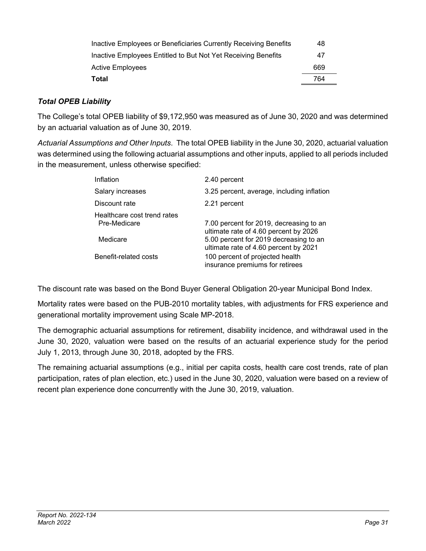| Inactive Employees or Beneficiaries Currently Receiving Benefits | 48  |  |
|------------------------------------------------------------------|-----|--|
| Inactive Employees Entitled to But Not Yet Receiving Benefits    | 47  |  |
| Active Employees                                                 | 669 |  |
| Total                                                            | 764 |  |
|                                                                  |     |  |

# *Total OPEB Liability*

The College's total OPEB liability of \$9,172,950 was measured as of June 30, 2020 and was determined by an actuarial valuation as of June 30, 2019.

*Actuarial Assumptions and Other Inputs*. The total OPEB liability in the June 30, 2020, actuarial valuation was determined using the following actuarial assumptions and other inputs, applied to all periods included in the measurement, unless otherwise specified:

| Inflation                                   | 2.40 percent                                                                     |
|---------------------------------------------|----------------------------------------------------------------------------------|
| Salary increases                            | 3.25 percent, average, including inflation                                       |
| Discount rate                               | 2.21 percent                                                                     |
| Healthcare cost trend rates<br>Pre-Medicare | 7.00 percent for 2019, decreasing to an<br>ultimate rate of 4.60 percent by 2026 |
| Medicare                                    | 5.00 percent for 2019 decreasing to an<br>ultimate rate of 4.60 percent by 2021  |
| Benefit-related costs                       | 100 percent of projected health<br>insurance premiums for retirees               |

The discount rate was based on the Bond Buyer General Obligation 20-year Municipal Bond Index.

Mortality rates were based on the PUB-2010 mortality tables, with adjustments for FRS experience and generational mortality improvement using Scale MP-2018.

The demographic actuarial assumptions for retirement, disability incidence, and withdrawal used in the June 30, 2020, valuation were based on the results of an actuarial experience study for the period July 1, 2013, through June 30, 2018, adopted by the FRS.

The remaining actuarial assumptions (e.g., initial per capita costs, health care cost trends, rate of plan participation, rates of plan election, etc.) used in the June 30, 2020, valuation were based on a review of recent plan experience done concurrently with the June 30, 2019, valuation.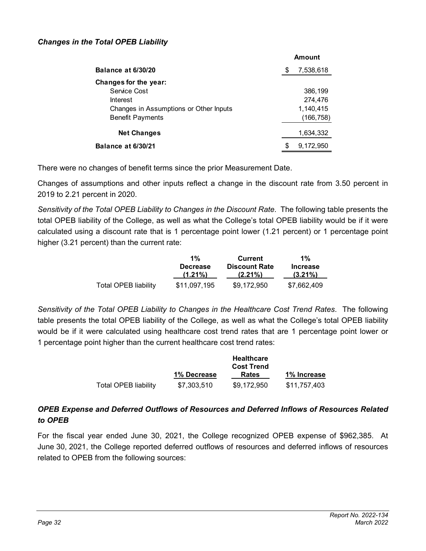## *Changes in the Total OPEB Liability*

|                                        |    | <b>Amount</b> |
|----------------------------------------|----|---------------|
| Balance at 6/30/20                     | S  | 7,538,618     |
| Changes for the year:                  |    |               |
| Service Cost                           |    | 386,199       |
| Interest                               |    | 274,476       |
| Changes in Assumptions or Other Inputs |    | 1,140,415     |
| <b>Benefit Payments</b>                |    | (166, 758)    |
| <b>Net Changes</b>                     |    | 1,634,332     |
| Balance at 6/30/21                     | \$ | 9.172.950     |

There were no changes of benefit terms since the prior Measurement Date.

Changes of assumptions and other inputs reflect a change in the discount rate from 3.50 percent in 2019 to 2.21 percent in 2020.

*Sensitivity of the Total OPEB Liability to Changes in the Discount Rate*. The following table presents the total OPEB liability of the College, as well as what the College's total OPEB liability would be if it were calculated using a discount rate that is 1 percentage point lower (1.21 percent) or 1 percentage point higher (3.21 percent) than the current rate:

|                      | $1\%$           | Current              | $1\%$           |
|----------------------|-----------------|----------------------|-----------------|
|                      | <b>Decrease</b> | <b>Discount Rate</b> | <b>Increase</b> |
|                      | $(1.21\%)$      | $(2.21\%)$           | $(3.21\%)$      |
| Total OPEB liability | \$11,097,195    | \$9,172,950          | \$7.662.409     |

*Sensitivity of the Total OPEB Liability to Changes in the Healthcare Cost Trend Rates*. The following table presents the total OPEB liability of the College, as well as what the College's total OPEB liability would be if it were calculated using healthcare cost trend rates that are 1 percentage point lower or 1 percentage point higher than the current healthcare cost trend rates:

|                             |                    | <b>Healthcare</b><br><b>Cost Trend</b> |              |
|-----------------------------|--------------------|----------------------------------------|--------------|
|                             | <b>1% Decrease</b> | <b>Rates</b>                           | 1% Increase  |
| <b>Total OPEB liability</b> | \$7,303,510        | \$9.172.950                            | \$11.757.403 |

# *OPEB Expense and Deferred Outflows of Resources and Deferred Inflows of Resources Related to OPEB*

For the fiscal year ended June 30, 2021, the College recognized OPEB expense of \$962,385. At June 30, 2021, the College reported deferred outflows of resources and deferred inflows of resources related to OPEB from the following sources: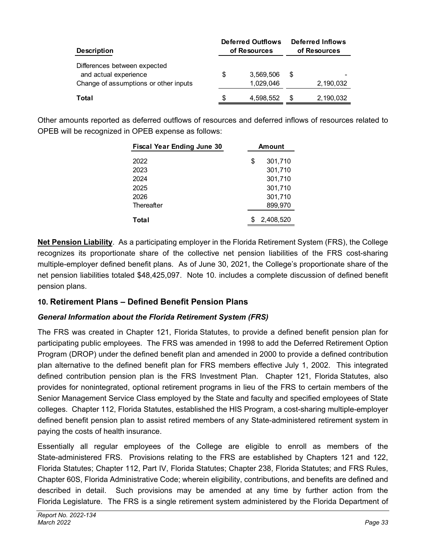| <b>Description</b>                                                                             | <b>Deferred Outflows</b><br>of Resources |    | <b>Deferred Inflows</b><br>of Resources |
|------------------------------------------------------------------------------------------------|------------------------------------------|----|-----------------------------------------|
| Differences between expected<br>and actual experience<br>Change of assumptions or other inputs | \$<br>3,569,506<br>1,029,046             | \$ | 2,190,032                               |
| Total                                                                                          | \$<br>4,598,552                          | S  | 2,190,032                               |

Other amounts reported as deferred outflows of resources and deferred inflows of resources related to OPEB will be recognized in OPEB expense as follows:

| <b>Fiscal Year Ending June 30</b> |         | Amount    |  |
|-----------------------------------|---------|-----------|--|
|                                   |         |           |  |
| 2022                              | \$      | 301,710   |  |
| 2023                              |         | 301,710   |  |
| 2024                              |         | 301,710   |  |
| 2025                              |         | 301,710   |  |
| 2026                              | 301,710 |           |  |
| Thereafter                        |         | 899,970   |  |
| Total                             |         | 2,408,520 |  |

**Net Pension Liability**. As a participating employer in the Florida Retirement System (FRS), the College recognizes its proportionate share of the collective net pension liabilities of the FRS cost-sharing multiple-employer defined benefit plans. As of June 30, 2021, the College's proportionate share of the net pension liabilities totaled \$48,425,097. Note 10. includes a complete discussion of defined benefit pension plans.

# **10. Retirement Plans – Defined Benefit Pension Plans**

# *General Information about the Florida Retirement System (FRS)*

The FRS was created in Chapter 121, Florida Statutes, to provide a defined benefit pension plan for participating public employees. The FRS was amended in 1998 to add the Deferred Retirement Option Program (DROP) under the defined benefit plan and amended in 2000 to provide a defined contribution plan alternative to the defined benefit plan for FRS members effective July 1, 2002. This integrated defined contribution pension plan is the FRS Investment Plan. Chapter 121, Florida Statutes, also provides for nonintegrated, optional retirement programs in lieu of the FRS to certain members of the Senior Management Service Class employed by the State and faculty and specified employees of State colleges. Chapter 112, Florida Statutes, established the HIS Program, a cost-sharing multiple-employer defined benefit pension plan to assist retired members of any State-administered retirement system in paying the costs of health insurance.

Essentially all regular employees of the College are eligible to enroll as members of the State-administered FRS. Provisions relating to the FRS are established by Chapters 121 and 122, Florida Statutes; Chapter 112, Part IV, Florida Statutes; Chapter 238, Florida Statutes; and FRS Rules, Chapter 60S, Florida Administrative Code; wherein eligibility, contributions, and benefits are defined and described in detail. Such provisions may be amended at any time by further action from the Florida Legislature. The FRS is a single retirement system administered by the Florida Department of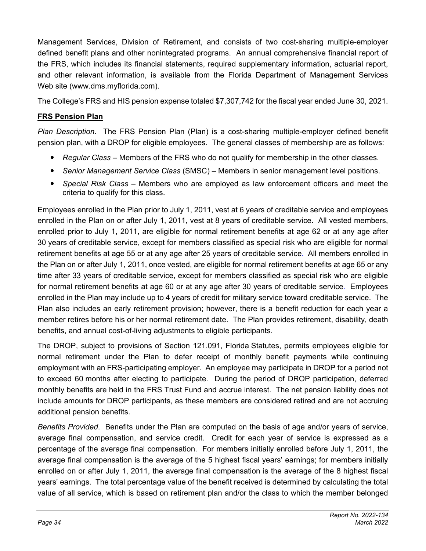Management Services, Division of Retirement, and consists of two cost-sharing multiple-employer defined benefit plans and other nonintegrated programs. An annual comprehensive financial report of the FRS, which includes its financial statements, required supplementary information, actuarial report, and other relevant information, is available from the Florida Department of Management Services Web site (www.dms.myflorida.com).

The College's FRS and HIS pension expense totaled \$7,307,742 for the fiscal year ended June 30, 2021.

# **FRS Pension Plan**

*Plan Description*. The FRS Pension Plan (Plan) is a cost-sharing multiple-employer defined benefit pension plan, with a DROP for eligible employees. The general classes of membership are as follows:

- *Regular Class* Members of the FRS who do not qualify for membership in the other classes.
- *Senior Management Service Class* (SMSC) Members in senior management level positions.
- *Special Risk Class* Members who are employed as law enforcement officers and meet the criteria to qualify for this class.

Employees enrolled in the Plan prior to July 1, 2011, vest at 6 years of creditable service and employees enrolled in the Plan on or after July 1, 2011, vest at 8 years of creditable service. All vested members, enrolled prior to July 1, 2011, are eligible for normal retirement benefits at age 62 or at any age after 30 years of creditable service, except for members classified as special risk who are eligible for normal retirement benefits at age 55 or at any age after 25 years of creditable service. All members enrolled in the Plan on or after July 1, 2011, once vested, are eligible for normal retirement benefits at age 65 or any time after 33 years of creditable service, except for members classified as special risk who are eligible for normal retirement benefits at age 60 or at any age after 30 years of creditable service. Employees enrolled in the Plan may include up to 4 years of credit for military service toward creditable service. The Plan also includes an early retirement provision; however, there is a benefit reduction for each year a member retires before his or her normal retirement date. The Plan provides retirement, disability, death benefits, and annual cost-of-living adjustments to eligible participants.

The DROP, subject to provisions of Section 121.091, Florida Statutes, permits employees eligible for normal retirement under the Plan to defer receipt of monthly benefit payments while continuing employment with an FRS-participating employer. An employee may participate in DROP for a period not to exceed 60 months after electing to participate. During the period of DROP participation, deferred monthly benefits are held in the FRS Trust Fund and accrue interest. The net pension liability does not include amounts for DROP participants, as these members are considered retired and are not accruing additional pension benefits.

*Benefits Provided*. Benefits under the Plan are computed on the basis of age and/or years of service, average final compensation, and service credit. Credit for each year of service is expressed as a percentage of the average final compensation. For members initially enrolled before July 1, 2011, the average final compensation is the average of the 5 highest fiscal years' earnings; for members initially enrolled on or after July 1, 2011, the average final compensation is the average of the 8 highest fiscal years' earnings. The total percentage value of the benefit received is determined by calculating the total value of all service, which is based on retirement plan and/or the class to which the member belonged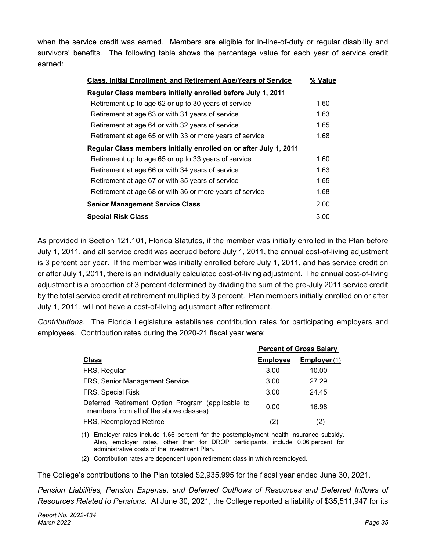when the service credit was earned. Members are eligible for in-line-of-duty or regular disability and survivors' benefits. The following table shows the percentage value for each year of service credit earned:

| Class, Initial Enrollment, and Retirement Age/Years of Service    | % Value |
|-------------------------------------------------------------------|---------|
| Regular Class members initially enrolled before July 1, 2011      |         |
| Retirement up to age 62 or up to 30 years of service              | 1.60    |
| Retirement at age 63 or with 31 years of service                  | 1.63    |
| Retirement at age 64 or with 32 years of service                  | 1.65    |
| Retirement at age 65 or with 33 or more years of service          | 1.68    |
| Regular Class members initially enrolled on or after July 1, 2011 |         |
| Retirement up to age 65 or up to 33 years of service              | 1.60    |
| Retirement at age 66 or with 34 years of service                  | 1.63    |
| Retirement at age 67 or with 35 years of service                  | 1.65    |
| Retirement at age 68 or with 36 or more years of service          | 1.68    |
| <b>Senior Management Service Class</b>                            | 2.00    |
| <b>Special Risk Class</b>                                         | 3.00    |

As provided in Section 121.101, Florida Statutes, if the member was initially enrolled in the Plan before July 1, 2011, and all service credit was accrued before July 1, 2011, the annual cost-of-living adjustment is 3 percent per year. If the member was initially enrolled before July 1, 2011, and has service credit on or after July 1, 2011, there is an individually calculated cost-of-living adjustment. The annual cost-of-living adjustment is a proportion of 3 percent determined by dividing the sum of the pre-July 2011 service credit by the total service credit at retirement multiplied by 3 percent. Plan members initially enrolled on or after July 1, 2011, will not have a cost-of-living adjustment after retirement.

*Contributions*. The Florida Legislature establishes contribution rates for participating employers and employees. Contribution rates during the 2020-21 fiscal year were:

|                                                                                             | <b>Percent of Gross Salary</b> |                |
|---------------------------------------------------------------------------------------------|--------------------------------|----------------|
| <b>Class</b>                                                                                | <b>Employee</b>                | Employer $(1)$ |
| FRS, Regular                                                                                | 3.00                           | 10.00          |
| <b>FRS, Senior Management Service</b>                                                       | 3.00                           | 27.29          |
| FRS, Special Risk                                                                           | 3.00                           | 24.45          |
| Deferred Retirement Option Program (applicable to<br>members from all of the above classes) | 0.00                           | 16.98          |
| FRS, Reemployed Retiree                                                                     | (2)                            | (2)            |

(1) Employer rates include 1.66 percent for the postemployment health insurance subsidy. Also, employer rates, other than for DROP participants, include 0.06 percent for administrative costs of the Investment Plan.

(2) Contribution rates are dependent upon retirement class in which reemployed.

The College's contributions to the Plan totaled \$2,935,995 for the fiscal year ended June 30, 2021.

*Pension Liabilities, Pension Expense, and Deferred Outflows of Resources and Deferred Inflows of Resources Related to Pensions*. At June 30, 2021, the College reported a liability of \$35,511,947 for its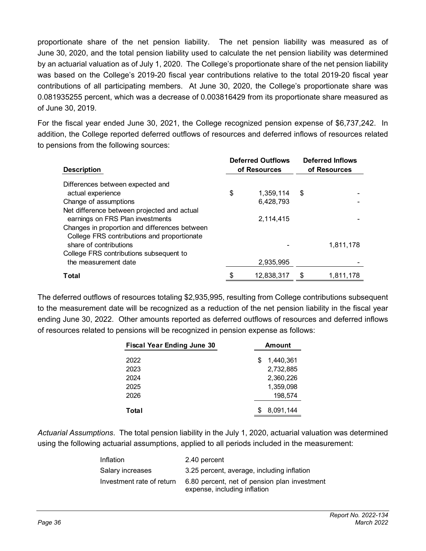proportionate share of the net pension liability. The net pension liability was measured as of June 30, 2020, and the total pension liability used to calculate the net pension liability was determined by an actuarial valuation as of July 1, 2020. The College's proportionate share of the net pension liability was based on the College's 2019-20 fiscal year contributions relative to the total 2019-20 fiscal year contributions of all participating members. At June 30, 2020, the College's proportionate share was 0.081935255 percent, which was a decrease of 0.003816429 from its proportionate share measured as of June 30, 2019.

For the fiscal year ended June 30, 2021, the College recognized pension expense of \$6,737,242. In addition, the College reported deferred outflows of resources and deferred inflows of resources related to pensions from the following sources:

| <b>Description</b>                                                                           |    | <b>Deferred Outflows</b><br>of Resources |    | <b>Deferred Inflows</b><br>of Resources |  |
|----------------------------------------------------------------------------------------------|----|------------------------------------------|----|-----------------------------------------|--|
| Differences between expected and                                                             |    |                                          |    |                                         |  |
| actual experience                                                                            | \$ | 1,359,114                                | S  |                                         |  |
| Change of assumptions                                                                        |    | 6,428,793                                |    |                                         |  |
| Net difference between projected and actual<br>earnings on FRS Plan investments              |    | 2,114,415                                |    |                                         |  |
| Changes in proportion and differences between<br>College FRS contributions and proportionate |    |                                          |    |                                         |  |
| share of contributions                                                                       |    |                                          |    | 1,811,178                               |  |
| College FRS contributions subsequent to                                                      |    |                                          |    |                                         |  |
| the measurement date                                                                         |    | 2,935,995                                |    |                                         |  |
| Total                                                                                        | \$ | 12,838,317                               | \$ | 1,811,178                               |  |

The deferred outflows of resources totaling \$2,935,995, resulting from College contributions subsequent to the measurement date will be recognized as a reduction of the net pension liability in the fiscal year ending June 30, 2022. Other amounts reported as deferred outflows of resources and deferred inflows of resources related to pensions will be recognized in pension expense as follows:

| <b>Fiscal Year Ending June 30</b> | <b>Amount</b>  |  |
|-----------------------------------|----------------|--|
| 2022                              | 1,440,361<br>S |  |
| 2023                              | 2,732,885      |  |
| 2024                              | 2,360,226      |  |
| 2025                              | 1,359,098      |  |
| 2026                              | 198,574        |  |
| Total                             | 8,091,144<br>S |  |

*Actuarial Assumptions*. The total pension liability in the July 1, 2020, actuarial valuation was determined using the following actuarial assumptions, applied to all periods included in the measurement:

| Inflation                 | 2.40 percent                                                                 |
|---------------------------|------------------------------------------------------------------------------|
| Salary increases          | 3.25 percent, average, including inflation                                   |
| Investment rate of return | 6.80 percent, net of pension plan investment<br>expense, including inflation |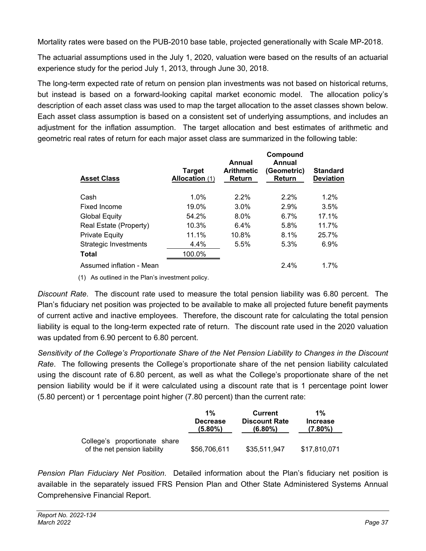Mortality rates were based on the PUB-2010 base table, projected generationally with Scale MP-2018.

The actuarial assumptions used in the July 1, 2020, valuation were based on the results of an actuarial experience study for the period July 1, 2013, through June 30, 2018.

The long-term expected rate of return on pension plan investments was not based on historical returns, but instead is based on a forward-looking capital market economic model. The allocation policy's description of each asset class was used to map the target allocation to the asset classes shown below. Each asset class assumption is based on a consistent set of underlying assumptions, and includes an adjustment for the inflation assumption. The target allocation and best estimates of arithmetic and geometric real rates of return for each major asset class are summarized in the following table:

| <b>Asset Class</b>           | <b>Target</b><br><b>Allocation</b> (1) | Annual<br>Arithmetic<br>Return | Compound<br>Annual<br>(Geometric)<br>Return | <b>Standard</b><br><b>Deviation</b> |
|------------------------------|----------------------------------------|--------------------------------|---------------------------------------------|-------------------------------------|
| Cash                         | 1.0%                                   | $2.2\%$                        | $2.2\%$                                     | 1.2%                                |
| Fixed Income                 | 19.0%                                  | 3.0%                           | 2.9%                                        | 3.5%                                |
| <b>Global Equity</b>         | 54.2%                                  | 8.0%                           | 6.7%                                        | 17.1%                               |
| Real Estate (Property)       | 10.3%                                  | 6.4%                           | 5.8%                                        | 11.7%                               |
| <b>Private Equity</b>        | 11.1%                                  | 10.8%                          | 8.1%                                        | 25.7%                               |
| <b>Strategic Investments</b> | 4.4%                                   | 5.5%                           | 5.3%                                        | 6.9%                                |
| <b>Total</b>                 | 100.0%                                 |                                |                                             |                                     |
| Assumed inflation - Mean     |                                        |                                | 2.4%                                        | 1.7%                                |
|                              |                                        |                                |                                             |                                     |

(1) As outlined in the Plan's investment policy.

*Discount Rate*. The discount rate used to measure the total pension liability was 6.80 percent. The Plan's fiduciary net position was projected to be available to make all projected future benefit payments of current active and inactive employees. Therefore, the discount rate for calculating the total pension liability is equal to the long-term expected rate of return. The discount rate used in the 2020 valuation was updated from 6.90 percent to 6.80 percent.

*Sensitivity of the College's Proportionate Share of the Net Pension Liability to Changes in the Discount Rate*. The following presents the College's proportionate share of the net pension liability calculated using the discount rate of 6.80 percent, as well as what the College's proportionate share of the net pension liability would be if it were calculated using a discount rate that is 1 percentage point lower (5.80 percent) or 1 percentage point higher (7.80 percent) than the current rate:

|                                                               | $1\%$           | Current              | $1\%$           |
|---------------------------------------------------------------|-----------------|----------------------|-----------------|
|                                                               | <b>Decrease</b> | <b>Discount Rate</b> | <b>Increase</b> |
|                                                               | $(5.80\%)$      | $(6.80\%)$           | $(7.80\%)$      |
| College's proportionate share<br>of the net pension liability | \$56,706,611    | \$35,511,947         | \$17,810,071    |

*Pension Plan Fiduciary Net Position*. Detailed information about the Plan's fiduciary net position is available in the separately issued FRS Pension Plan and Other State Administered Systems Annual Comprehensive Financial Report.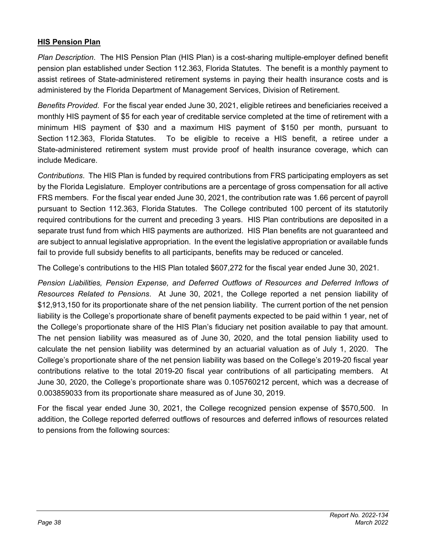# **HIS Pension Plan**

*Plan Description*. The HIS Pension Plan (HIS Plan) is a cost-sharing multiple-employer defined benefit pension plan established under Section 112.363, Florida Statutes. The benefit is a monthly payment to assist retirees of State-administered retirement systems in paying their health insurance costs and is administered by the Florida Department of Management Services, Division of Retirement.

*Benefits Provided*. For the fiscal year ended June 30, 2021, eligible retirees and beneficiaries received a monthly HIS payment of \$5 for each year of creditable service completed at the time of retirement with a minimum HIS payment of \$30 and a maximum HIS payment of \$150 per month, pursuant to Section 112.363, Florida Statutes. To be eligible to receive a HIS benefit, a retiree under a State-administered retirement system must provide proof of health insurance coverage, which can include Medicare.

*Contributions*. The HIS Plan is funded by required contributions from FRS participating employers as set by the Florida Legislature. Employer contributions are a percentage of gross compensation for all active FRS members. For the fiscal year ended June 30, 2021, the contribution rate was 1.66 percent of payroll pursuant to Section 112.363, Florida Statutes. The College contributed 100 percent of its statutorily required contributions for the current and preceding 3 years. HIS Plan contributions are deposited in a separate trust fund from which HIS payments are authorized. HIS Plan benefits are not guaranteed and are subject to annual legislative appropriation. In the event the legislative appropriation or available funds fail to provide full subsidy benefits to all participants, benefits may be reduced or canceled.

The College's contributions to the HIS Plan totaled \$607,272 for the fiscal year ended June 30, 2021.

*Pension Liabilities, Pension Expense, and Deferred Outflows of Resources and Deferred Inflows of Resources Related to Pensions*. At June 30, 2021, the College reported a net pension liability of \$12,913,150 for its proportionate share of the net pension liability. The current portion of the net pension liability is the College's proportionate share of benefit payments expected to be paid within 1 year, net of the College's proportionate share of the HIS Plan's fiduciary net position available to pay that amount. The net pension liability was measured as of June 30, 2020, and the total pension liability used to calculate the net pension liability was determined by an actuarial valuation as of July 1, 2020. The College's proportionate share of the net pension liability was based on the College's 2019-20 fiscal year contributions relative to the total 2019-20 fiscal year contributions of all participating members. At June 30, 2020, the College's proportionate share was 0.105760212 percent, which was a decrease of 0.003859033 from its proportionate share measured as of June 30, 2019.

For the fiscal year ended June 30, 2021, the College recognized pension expense of \$570,500. In addition, the College reported deferred outflows of resources and deferred inflows of resources related to pensions from the following sources: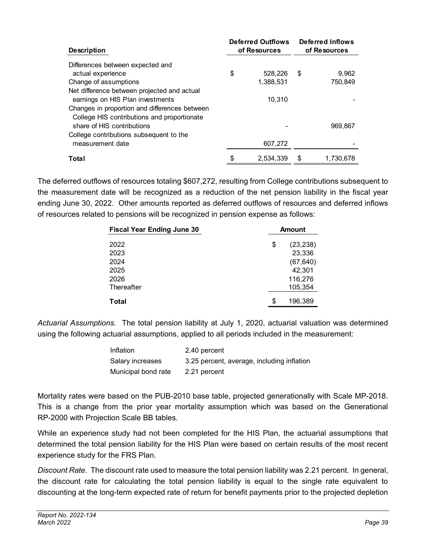| <b>Description</b>                            | <b>Deferred Outflows</b><br>of Resources |           | Deferred Inflows<br>of Resources |           |
|-----------------------------------------------|------------------------------------------|-----------|----------------------------------|-----------|
| Differences between expected and              |                                          |           |                                  |           |
| actual experience                             | \$                                       | 528,226   | \$                               | 9,962     |
| Change of assumptions                         |                                          | 1,388,531 |                                  | 750,849   |
| Net difference between projected and actual   |                                          |           |                                  |           |
| earnings on HIS Plan investments              |                                          | 10,310    |                                  |           |
| Changes in proportion and differences between |                                          |           |                                  |           |
| College HIS contributions and proportionate   |                                          |           |                                  |           |
| share of HIS contributions                    |                                          |           |                                  | 969,867   |
| College contributions subsequent to the       |                                          |           |                                  |           |
| measurement date                              |                                          | 607,272   |                                  |           |
| Total                                         | \$                                       | 2.534.339 | \$.                              | 1.730.678 |

The deferred outflows of resources totaling \$607,272, resulting from College contributions subsequent to the measurement date will be recognized as a reduction of the net pension liability in the fiscal year ending June 30, 2022. Other amounts reported as deferred outflows of resources and deferred inflows of resources related to pensions will be recognized in pension expense as follows:

| <b>Fiscal Year Ending June 30</b> | <b>Amount</b> |           |
|-----------------------------------|---------------|-----------|
| 2022                              | \$            | (23, 238) |
| 2023                              |               | 23,336    |
| 2024                              |               | (67, 640) |
| 2025                              |               | 42,301    |
| 2026                              |               | 116,276   |
| Thereafter                        |               | 105,354   |
| <b>Total</b>                      | S             | 196,389   |

*Actuarial Assumptions.* The total pension liability at July 1, 2020, actuarial valuation was determined using the following actuarial assumptions, applied to all periods included in the measurement:

| Inflation           | 2.40 percent                               |
|---------------------|--------------------------------------------|
| Salary increases    | 3.25 percent, average, including inflation |
| Municipal bond rate | 2.21 percent                               |

Mortality rates were based on the PUB-2010 base table, projected generationally with Scale MP-2018. This is a change from the prior year mortality assumption which was based on the Generational RP-2000 with Projection Scale BB tables.

While an experience study had not been completed for the HIS Plan, the actuarial assumptions that determined the total pension liability for the HIS Plan were based on certain results of the most recent experience study for the FRS Plan.

*Discount Rate*. The discount rate used to measure the total pension liability was 2.21 percent. In general, the discount rate for calculating the total pension liability is equal to the single rate equivalent to discounting at the long-term expected rate of return for benefit payments prior to the projected depletion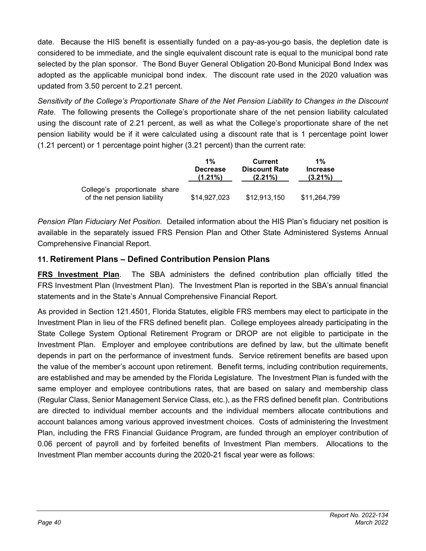date. Because the HIS benefit is essentially funded on a pay-as-you-go basis, the depletion date is considered to be immediate, and the single equivalent discount rate is equal to the municipal bond rate selected by the plan sponsor. The Bond Buyer General Obligation 20-Bond Municipal Bond Index was adopted as the applicable municipal bond index. The discount rate used in the 2020 valuation was updated from 3.50 percent to 2.21 percent.

*Sensitivity of the College's Proportionate Share of the Net Pension Liability to Changes in the Discount Rate*. The following presents the College's proportionate share of the net pension liability calculated using the discount rate of 2.21 percent, as well as what the College's proportionate share of the net pension liability would be if it were calculated using a discount rate that is 1 percentage point lower (1.21 percent) or 1 percentage point higher (3.21 percent) than the current rate:

|                                                               | 1%              | <b>Current</b>       | $1\%$           |
|---------------------------------------------------------------|-----------------|----------------------|-----------------|
|                                                               | <b>Decrease</b> | <b>Discount Rate</b> | <b>Increase</b> |
|                                                               | $(1.21\%)$      | $(2.21\%)$           | $(3.21\%)$      |
| College's proportionate share<br>of the net pension liability | \$14,927,023    | \$12,913,150         | \$11,264,799    |

*Pension Plan Fiduciary Net Position*. Detailed information about the HIS Plan's fiduciary net position is available in the separately issued FRS Pension Plan and Other State Administered Systems Annual Comprehensive Financial Report.

# **11. Retirement Plans – Defined Contribution Pension Plans**

**FRS Investment Plan**. The SBA administers the defined contribution plan officially titled the FRS Investment Plan (Investment Plan). The Investment Plan is reported in the SBA's annual financial statements and in the State's Annual Comprehensive Financial Report.

As provided in Section 121.4501, Florida Statutes, eligible FRS members may elect to participate in the Investment Plan in lieu of the FRS defined benefit plan. College employees already participating in the State College System Optional Retirement Program or DROP are not eligible to participate in the Investment Plan. Employer and employee contributions are defined by law, but the ultimate benefit depends in part on the performance of investment funds. Service retirement benefits are based upon the value of the member's account upon retirement. Benefit terms, including contribution requirements, are established and may be amended by the Florida Legislature. The Investment Plan is funded with the same employer and employee contributions rates, that are based on salary and membership class (Regular Class, Senior Management Service Class, etc.), as the FRS defined benefit plan. Contributions are directed to individual member accounts and the individual members allocate contributions and account balances among various approved investment choices. Costs of administering the Investment Plan, including the FRS Financial Guidance Program, are funded through an employer contribution of 0.06 percent of payroll and by forfeited benefits of Investment Plan members. Allocations to the Investment Plan member accounts during the 2020-21 fiscal year were as follows: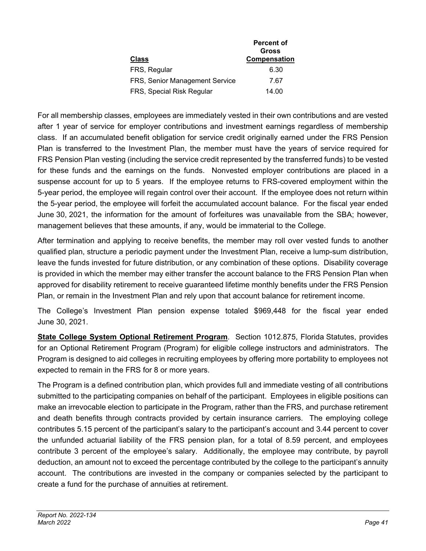|                                       | <b>Percent of</b> |
|---------------------------------------|-------------------|
|                                       | Gross             |
| <b>Class</b>                          | Compensation      |
| FRS, Regular                          | 6.30              |
| <b>FRS, Senior Management Service</b> | 7.67              |
| FRS, Special Risk Regular             | 14.00             |

For all membership classes, employees are immediately vested in their own contributions and are vested after 1 year of service for employer contributions and investment earnings regardless of membership class. If an accumulated benefit obligation for service credit originally earned under the FRS Pension Plan is transferred to the Investment Plan, the member must have the years of service required for FRS Pension Plan vesting (including the service credit represented by the transferred funds) to be vested for these funds and the earnings on the funds. Nonvested employer contributions are placed in a suspense account for up to 5 years. If the employee returns to FRS-covered employment within the 5-year period, the employee will regain control over their account. If the employee does not return within the 5-year period, the employee will forfeit the accumulated account balance. For the fiscal year ended June 30, 2021, the information for the amount of forfeitures was unavailable from the SBA; however, management believes that these amounts, if any, would be immaterial to the College.

After termination and applying to receive benefits, the member may roll over vested funds to another qualified plan, structure a periodic payment under the Investment Plan, receive a lump-sum distribution, leave the funds invested for future distribution, or any combination of these options. Disability coverage is provided in which the member may either transfer the account balance to the FRS Pension Plan when approved for disability retirement to receive guaranteed lifetime monthly benefits under the FRS Pension Plan, or remain in the Investment Plan and rely upon that account balance for retirement income.

The College's Investment Plan pension expense totaled \$969,448 for the fiscal year ended June 30, 2021.

**State College System Optional Retirement Program**. Section 1012.875, Florida Statutes, provides for an Optional Retirement Program (Program) for eligible college instructors and administrators. The Program is designed to aid colleges in recruiting employees by offering more portability to employees not expected to remain in the FRS for 8 or more years.

The Program is a defined contribution plan, which provides full and immediate vesting of all contributions submitted to the participating companies on behalf of the participant. Employees in eligible positions can make an irrevocable election to participate in the Program, rather than the FRS, and purchase retirement and death benefits through contracts provided by certain insurance carriers. The employing college contributes 5.15 percent of the participant's salary to the participant's account and 3.44 percent to cover the unfunded actuarial liability of the FRS pension plan, for a total of 8.59 percent, and employees contribute 3 percent of the employee's salary. Additionally, the employee may contribute, by payroll deduction, an amount not to exceed the percentage contributed by the college to the participant's annuity account. The contributions are invested in the company or companies selected by the participant to create a fund for the purchase of annuities at retirement.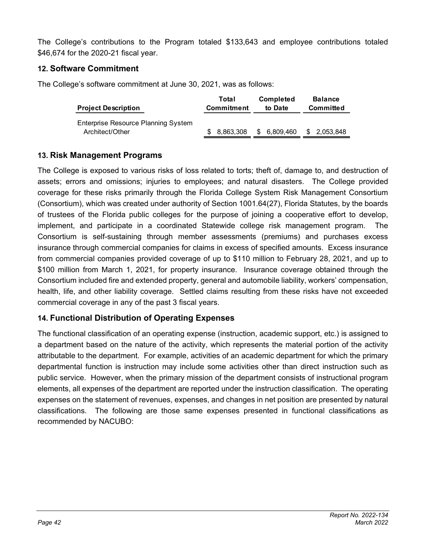The College's contributions to the Program totaled \$133,643 and employee contributions totaled \$46,674 for the 2020-21 fiscal year.

# **12. Software Commitment**

The College's software commitment at June 30, 2021, was as follows:

| <b>Project Description</b>                             | Total      | Completed       | <b>Balance</b> |
|--------------------------------------------------------|------------|-----------------|----------------|
|                                                        | Commitment | to Date         | Committed      |
| Enterprise Resource Planning System<br>Architect/Other | 8,863,308  | 6.809.460<br>\$ | \$2,053,848    |

# **13. Risk Management Programs**

The College is exposed to various risks of loss related to torts; theft of, damage to, and destruction of assets; errors and omissions; injuries to employees; and natural disasters. The College provided coverage for these risks primarily through the Florida College System Risk Management Consortium (Consortium), which was created under authority of Section 1001.64(27), Florida Statutes, by the boards of trustees of the Florida public colleges for the purpose of joining a cooperative effort to develop, implement, and participate in a coordinated Statewide college risk management program. The Consortium is self-sustaining through member assessments (premiums) and purchases excess insurance through commercial companies for claims in excess of specified amounts. Excess insurance from commercial companies provided coverage of up to \$110 million to February 28, 2021, and up to \$100 million from March 1, 2021, for property insurance. Insurance coverage obtained through the Consortium included fire and extended property, general and automobile liability, workers' compensation, health, life, and other liability coverage. Settled claims resulting from these risks have not exceeded commercial coverage in any of the past 3 fiscal years.

# **14. Functional Distribution of Operating Expenses**

The functional classification of an operating expense (instruction, academic support, etc.) is assigned to a department based on the nature of the activity, which represents the material portion of the activity attributable to the department. For example, activities of an academic department for which the primary departmental function is instruction may include some activities other than direct instruction such as public service. However, when the primary mission of the department consists of instructional program elements, all expenses of the department are reported under the instruction classification. The operating expenses on the statement of revenues, expenses, and changes in net position are presented by natural classifications. The following are those same expenses presented in functional classifications as recommended by NACUBO: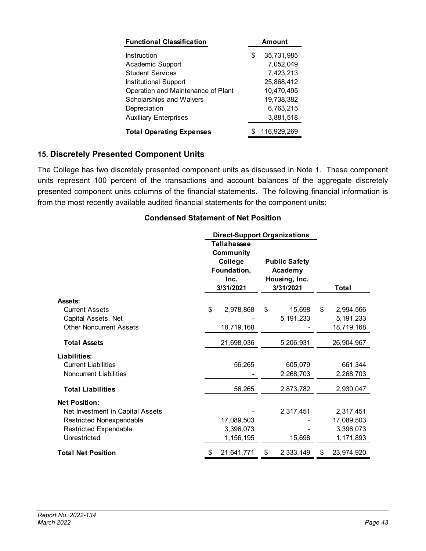| <b>Functional Classification</b>   | Amount |             |  |  |  |  |
|------------------------------------|--------|-------------|--|--|--|--|
| <b>Instruction</b>                 | \$     | 35,731,985  |  |  |  |  |
| Academic Support                   |        | 7,052,049   |  |  |  |  |
| <b>Student Services</b>            |        | 7,423,213   |  |  |  |  |
| <b>Institutional Support</b>       |        | 25,868,412  |  |  |  |  |
| Operation and Maintenance of Plant |        | 10,470,495  |  |  |  |  |
| Scholarships and Waivers           |        | 19,738,382  |  |  |  |  |
| Depreciation                       |        | 6,763,215   |  |  |  |  |
| <b>Auxiliary Enterprises</b>       |        | 3,881,518   |  |  |  |  |
| <b>Total Operating Expenses</b>    |        | 116,929,269 |  |  |  |  |

# **15. Discretely Presented Component Units**

The College has two discretely presented component units as discussed in Note 1. These component units represent 100 percent of the transactions and account balances of the aggregate discretely presented component units columns of the financial statements. The following financial information is from the most recently available audited financial statements for the component units:

## **Condensed Statement of Net Position**

|                                  | <b>Direct-Support Organizations</b>    |                      |    |            |
|----------------------------------|----------------------------------------|----------------------|----|------------|
|                                  | <b>Tallahassee</b><br><b>Community</b> |                      |    |            |
|                                  | College                                | <b>Public Safety</b> |    |            |
|                                  | Foundation,                            | Academy              |    |            |
|                                  | Inc.                                   | Housing, Inc.        |    |            |
|                                  | 3/31/2021                              | 3/31/2021            |    | Total      |
| Assets:                          |                                        |                      |    |            |
| <b>Current Assets</b>            | \$<br>2,978,868                        | \$<br>15,698         | \$ | 2,994,566  |
| Capital Assets, Net              |                                        | 5,191,233            |    | 5,191,233  |
| <b>Other Noncurrent Assets</b>   | 18,719,168                             |                      |    | 18,719,168 |
| <b>Total Assets</b>              | 21,698,036                             | 5,206,931            |    | 26,904,967 |
| Liabilities:                     |                                        |                      |    |            |
| <b>Current Liabilities</b>       | 56,265                                 | 605,079              |    | 661,344    |
| <b>Noncurrent Liabilities</b>    |                                        | 2,268,703            |    | 2,268,703  |
| <b>Total Liabilities</b>         | 56,265                                 | 2,873,782            |    | 2,930,047  |
| <b>Net Position:</b>             |                                        |                      |    |            |
| Net Investment in Capital Assets |                                        | 2,317,451            |    | 2,317,451  |
| Restricted Nonexpendable         | 17,089,503                             |                      |    | 17,089,503 |
| <b>Restricted Expendable</b>     | 3,396,073                              |                      |    | 3,396,073  |
| Unrestricted                     | 1,156,195                              | 15,698               |    | 1,171,893  |
| <b>Total Net Position</b>        | \$<br>21,641,771                       | \$<br>2,333,149      | S  | 23,974,920 |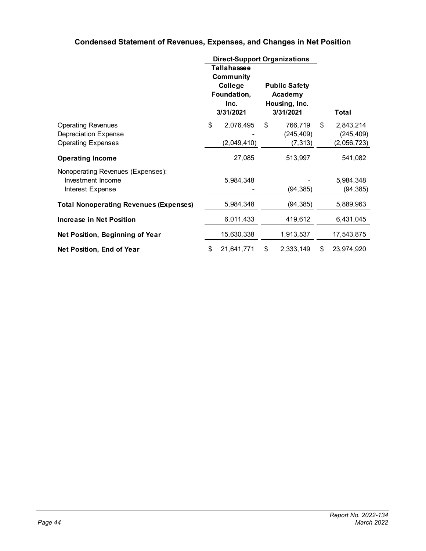# **Condensed Statement of Revenues, Expenses, and Changes in Net Position**

|                                                                                       | <b>Direct-Support Organizations</b><br><b>Tallahassee</b><br><b>Community</b><br>College<br>Foundation,<br>Inc.<br>3/31/2021 | <b>Public Safety</b><br>Academy<br>Housing, Inc.<br>3/31/2021 |    | Total                                  |
|---------------------------------------------------------------------------------------|------------------------------------------------------------------------------------------------------------------------------|---------------------------------------------------------------|----|----------------------------------------|
| <b>Operating Revenues</b><br><b>Depreciation Expense</b><br><b>Operating Expenses</b> | \$<br>2,076,495<br>(2,049,410)                                                                                               | \$<br>766,719<br>(245, 409)<br>(7, 313)                       | \$ | 2,843,214<br>(245, 409)<br>(2,056,723) |
| <b>Operating Income</b>                                                               | 27,085                                                                                                                       | 513,997                                                       |    | 541,082                                |
| Nonoperating Revenues (Expenses):<br>Investment Income<br>Interest Expense            | 5,984,348                                                                                                                    | (94, 385)                                                     |    | 5,984,348<br>(94, 385)                 |
| <b>Total Nonoperating Revenues (Expenses)</b>                                         | 5,984,348                                                                                                                    | (94, 385)                                                     |    | 5,889,963                              |
| <b>Increase in Net Position</b>                                                       | 6,011,433                                                                                                                    | 419,612                                                       |    | 6,431,045                              |
| Net Position, Beginning of Year                                                       | 15,630,338                                                                                                                   | 1,913,537                                                     |    | 17,543,875                             |
| Net Position, End of Year                                                             | \$<br>21,641,771                                                                                                             | \$<br>2,333,149                                               | S  | 23,974,920                             |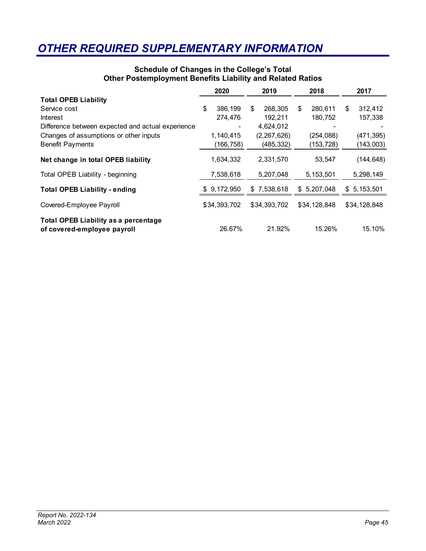# <span id="page-48-0"></span>*OTHER REQUIRED SUPPLEMENTARY INFORMATION*

|                                                                            | 2020          | 2019          | 2018          | 2017          |
|----------------------------------------------------------------------------|---------------|---------------|---------------|---------------|
| <b>Total OPEB Liability</b>                                                |               |               |               |               |
| Service cost                                                               | \$<br>386,199 | \$<br>268.305 | \$<br>280,611 | \$<br>312,412 |
| Interest                                                                   | 274,476       | 192.211       | 180,752       | 157,338       |
| Difference between expected and actual experience                          |               | 4,624,012     |               |               |
| Changes of assumptions or other inputs                                     | 1,140,415     | (2, 267, 626) | (254, 088)    | (471, 395)    |
| <b>Benefit Payments</b>                                                    | (166, 758)    | (485, 332)    | (153, 728)    | (143,003)     |
| Net change in total OPEB liability                                         | 1,634,332     | 2,331,570     | 53,547        | (144, 648)    |
| Total OPEB Liability - beginning                                           | 7,538,618     | 5,207,048     | 5, 153, 501   | 5,298,149     |
| <b>Total OPEB Liability - ending</b>                                       | \$9,172,950   | \$7,538,618   | \$5,207,048   | \$5,153,501   |
| Covered-Employee Payroll                                                   | \$34,393,702  | \$34,393,702  | \$34,128,848  | \$34,128,848  |
| <b>Total OPEB Liability as a percentage</b><br>of covered-employee payroll | 26.67%        | 21.92%        | 15.26%        | 15.10%        |

#### **Schedule of Changes in the College's Total Other Postemployment Benefits Liability and Related Ratios**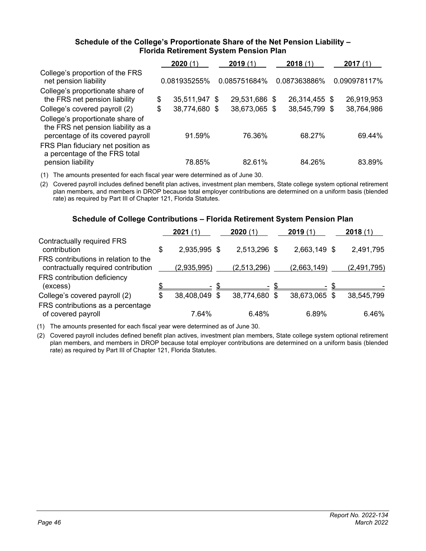#### **Schedule of the College's Proportionate Share of the Net Pension Liability – Florida Retirement System Pension Plan**

<span id="page-49-0"></span>

|                                                                                                             | 2020(1)             | 2019(1)       | 2018(1)       | 2017(1)      |
|-------------------------------------------------------------------------------------------------------------|---------------------|---------------|---------------|--------------|
| College's proportion of the FRS<br>net pension liability<br>College's proportionate share of                | 0.081935255%        | 0.085751684%  | 0.087363886%  | 0.090978117% |
| the FRS net pension liability                                                                               | \$<br>35,511,947 \$ | 29,531,686 \$ | 26,314,455 \$ | 26,919,953   |
| College's covered payroll (2)                                                                               | \$<br>38,774,680 \$ | 38,673,065 \$ | 38,545,799 \$ | 38,764,986   |
| College's proportionate share of<br>the FRS net pension liability as a<br>percentage of its covered payroll | 91.59%              | 76.36%        | 68.27%        | 69.44%       |
| FRS Plan fiduciary net position as<br>a percentage of the FRS total<br>pension liability                    | 78.85%              | 82.61%        | 84.26%        | 83.89%       |

(1) The amounts presented for each fiscal year were determined as of June 30.

(2) Covered payroll includes defined benefit plan actives, investment plan members, State college system optional retirement plan members, and members in DROP because total employer contributions are determined on a uniform basis (blended rate) as required by Part III of Chapter 121, Florida Statutes.

#### **Schedule of College Contributions – Florida Retirement System Pension Plan**

|                                                                             | 2021(1)             | 2020(1)                  | 2019(1)      | 2018(1)          |
|-----------------------------------------------------------------------------|---------------------|--------------------------|--------------|------------------|
| Contractually required FRS<br>contribution                                  | \$<br>2,935,995 \$  | 2,513,296 \$             | 2,663,149 \$ | 2,491,795        |
| FRS contributions in relation to the<br>contractually required contribution | (2,935,995)         | (2,513,296)              | (2,663,149)  | (2,491,795)      |
| FRS contribution deficiency<br>(excess)                                     |                     | $\overline{\phantom{0}}$ |              |                  |
| College's covered payroll (2)                                               | \$<br>38,408,049 \$ | 38,774,680 \$            | 38,673,065   | \$<br>38,545,799 |
| FRS contributions as a percentage<br>of covered payroll                     | 7.64%               | 6.48%                    | 6.89%        | 6.46%            |

(1) The amounts presented for each fiscal year were determined as of June 30.

(2) Covered payroll includes defined benefit plan actives, investment plan members, State college system optional retirement plan members, and members in DROP because total employer contributions are determined on a uniform basis (blended rate) as required by Part III of Chapter 121, Florida Statutes.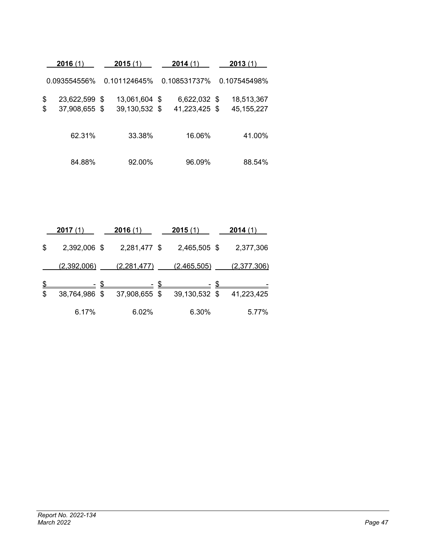|    | 2016(1)       |      | 2015(1)       | <b>2014</b> (1) | 2013 (1      |
|----|---------------|------|---------------|-----------------|--------------|
|    | 0.093554556%  |      | 0.101124645%  | 0.108531737%    | 0.107545498% |
| \$ | 23,622,599    | - \$ | 13,061,604 \$ | 6,622,032 \$    | 18,513,367   |
| \$ | 37,908,655 \$ |      | 39,130,532 \$ | 41,223,425 \$   | 45, 155, 227 |
|    | 62.31%        |      | 33.38%        | 16.06%          | 41.00%       |
|    | 84.88%        |      | 92.00%        | 96.09%          | 88.54%       |

| 2017(1)             | 2016(1)       |                               | 2015(1)       | 2014(1)     |
|---------------------|---------------|-------------------------------|---------------|-------------|
| \$<br>2,392,006 \$  | 2,281,477 \$  |                               | 2,465,505 \$  | 2,377,306   |
| (2,392,006)         | (2, 281, 477) |                               | (2.465, 505)  | (2,377.306) |
|                     |               | $-\underline{\underline{\$}}$ |               |             |
| \$<br>38,764,986 \$ | 37,908,655 \$ |                               | 39,130,532 \$ | 41,223,425  |
| 6.17%               | 6.02%         |                               | 6.30%         | 5.77%       |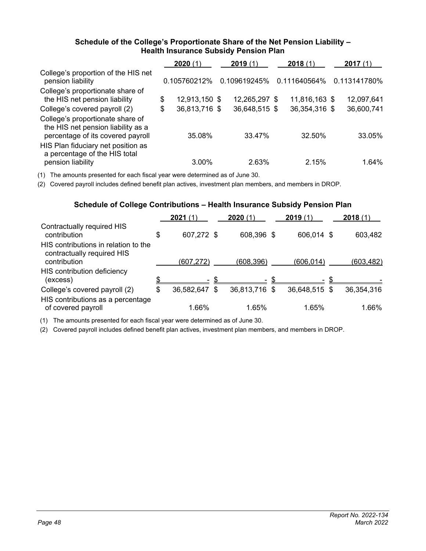#### **Schedule of the College's Proportionate Share of the Net Pension Liability – Health Insurance Subsidy Pension Plan**

<span id="page-51-0"></span>

|                                                                                                             | 2020(1)             | 2019(1)       | 2018(1)       | 2017(1)      |
|-------------------------------------------------------------------------------------------------------------|---------------------|---------------|---------------|--------------|
| College's proportion of the HIS net<br>pension liability<br>College's proportionate share of                | 0.105760212%        | 0.109619245%  | 0.111640564%  | 0.113141780% |
| the HIS net pension liability                                                                               | \$<br>12,913,150 \$ | 12,265,297 \$ | 11,816,163 \$ | 12,097,641   |
| College's covered payroll (2)                                                                               | \$<br>36,813,716 \$ | 36,648,515 \$ | 36,354,316 \$ | 36,600,741   |
| College's proportionate share of<br>the HIS net pension liability as a<br>percentage of its covered payroll | 35.08%              | 33.47%        | 32.50%        | 33.05%       |
| HIS Plan fiduciary net position as<br>a percentage of the HIS total<br>pension liability                    | $3.00\%$            | 2.63%         | 2.15%         | 1.64%        |

(1) The amounts presented for each fiscal year were determined as of June 30.

(2) Covered payroll includes defined benefit plan actives, investment plan members, and members in DROP.

### **Schedule of College Contributions – Health Insurance Subsidy Pension Plan**

|                                                                    | 2021(1)                  | 2020(1)             | 2019(1)                  | 2018(1)    |
|--------------------------------------------------------------------|--------------------------|---------------------|--------------------------|------------|
| Contractually required HIS<br>contribution                         | \$<br>607,272 \$         | 608,396 \$          | 606,014 \$               | 603,482    |
| HIS contributions in relation to the<br>contractually required HIS |                          |                     |                          |            |
| contribution                                                       | (607, 272)               | (608, 396)          | (606,014)                | (603,482)  |
| HIS contribution deficiency                                        |                          |                     |                          |            |
| (excess)                                                           | $\overline{\phantom{0}}$ |                     | $\overline{\phantom{0}}$ |            |
| College's covered payroll (2)                                      | \$<br>36,582,647         | \$<br>36,813,716 \$ | 36,648,515 \$            | 36,354,316 |
| HIS contributions as a percentage<br>of covered payroll            | 1.66%                    | 1.65%               | 1.65%                    | 1.66%      |

(1) The amounts presented for each fiscal year were determined as of June 30.

(2) Covered payroll includes defined benefit plan actives, investment plan members, and members in DROP.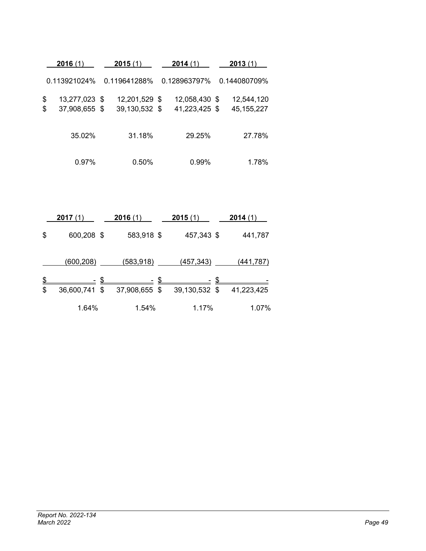|    | 2016(1)       | 2015(1)       | 2014(1)       | 2013 (1      |  |  |  |
|----|---------------|---------------|---------------|--------------|--|--|--|
|    | 0.113921024%  | 0.119641288%  | 0.128963797%  | 0.144080709% |  |  |  |
| \$ | 13,277,023 \$ | 12,201,529 \$ | 12,058,430 \$ | 12,544,120   |  |  |  |
| \$ | 37,908,655 \$ | 39,130,532 \$ | 41,223,425 \$ | 45, 155, 227 |  |  |  |
|    | 35.02%        | 31.18%        | 29.25%        | 27.78%       |  |  |  |
|    | 0.97%         | 0.50%         | 0.99%         | 1.78%        |  |  |  |

| 2017(1)             | 2016(1)       |      | 2015(1)       | 2014(1)    |
|---------------------|---------------|------|---------------|------------|
| \$<br>600,208 \$    | 583,918 \$    |      | 457,343 \$    | 441,787    |
| (600, 208)          | (583, 918)    |      | (457, 343)    | (441, 787) |
|                     |               | - \$ |               |            |
| \$<br>36,600,741 \$ | 37,908,655 \$ |      | 39,130,532 \$ | 41,223,425 |
| 1.64%               | 1.54%         |      | 1.17%         | 1.07%      |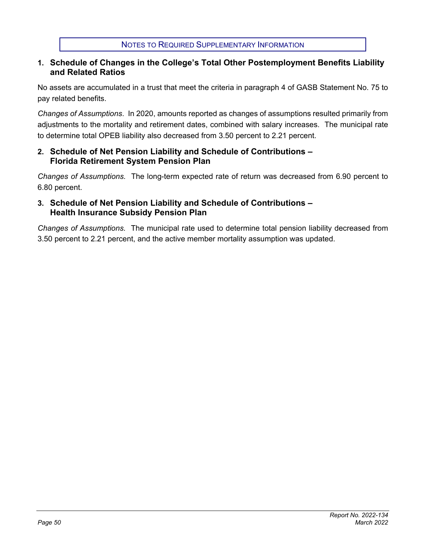# <span id="page-53-0"></span>**1. Schedule of Changes in the College's Total Other Postemployment Benefits Liability and Related Ratios**

No assets are accumulated in a trust that meet the criteria in paragraph 4 of GASB Statement No. 75 to pay related benefits.

*Changes of Assumptions*. In 2020, amounts reported as changes of assumptions resulted primarily from adjustments to the mortality and retirement dates, combined with salary increases. The municipal rate to determine total OPEB liability also decreased from 3.50 percent to 2.21 percent.

# **2. Schedule of Net Pension Liability and Schedule of Contributions – Florida Retirement System Pension Plan**

*Changes of Assumptions.* The long-term expected rate of return was decreased from 6.90 percent to 6.80 percent.

# **3. Schedule of Net Pension Liability and Schedule of Contributions – Health Insurance Subsidy Pension Plan**

*Changes of Assumptions.* The municipal rate used to determine total pension liability decreased from 3.50 percent to 2.21 percent, and the active member mortality assumption was updated.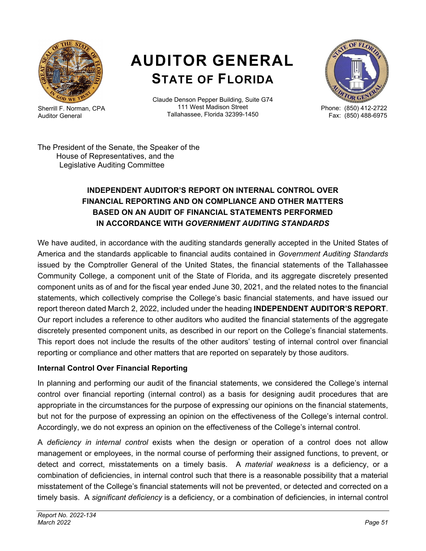<span id="page-54-0"></span>

Sherrill F. Norman, CPA Auditor General

# **AUDITOR GENERAL STATE OF FLORIDA**

Claude Denson Pepper Building, Suite G74 111 West Madison Street Tallahassee, Florida 32399-1450



Phone: (850) 412-2722 Fax: (850) 488-6975

The President of the Senate, the Speaker of the House of Representatives, and the Legislative Auditing Committee

# **INDEPENDENT AUDITOR'S REPORT ON INTERNAL CONTROL OVER FINANCIAL REPORTING AND ON COMPLIANCE AND OTHER MATTERS BASED ON AN AUDIT OF FINANCIAL STATEMENTS PERFORMED IN ACCORDANCE WITH** *GOVERNMENT AUDITING STANDARDS*

We have audited, in accordance with the auditing standards generally accepted in the United States of America and the standards applicable to financial audits contained in *Government Auditing Standards* issued by the Comptroller General of the United States, the financial statements of the Tallahassee Community College, a component unit of the State of Florida, and its aggregate discretely presented component units as of and for the fiscal year ended June 30, 2021, and the related notes to the financial statements, which collectively comprise the College's basic financial statements, and have issued our report thereon dated March 2, 2022, included under the heading **INDEPENDENT AUDITOR'S REPORT**. Our report includes a reference to other auditors who audited the financial statements of the aggregate discretely presented component units, as described in our report on the College's financial statements. This report does not include the results of the other auditors' testing of internal control over financial reporting or compliance and other matters that are reported on separately by those auditors.

# **Internal Control Over Financial Reporting**

In planning and performing our audit of the financial statements, we considered the College's internal control over financial reporting (internal control) as a basis for designing audit procedures that are appropriate in the circumstances for the purpose of expressing our opinions on the financial statements, but not for the purpose of expressing an opinion on the effectiveness of the College's internal control. Accordingly, we do not express an opinion on the effectiveness of the College's internal control.

A *deficiency in internal control* exists when the design or operation of a control does not allow management or employees, in the normal course of performing their assigned functions, to prevent, or detect and correct, misstatements on a timely basis. A *material weakness* is a deficiency, or a combination of deficiencies, in internal control such that there is a reasonable possibility that a material misstatement of the College's financial statements will not be prevented, or detected and corrected on a timely basis. A *significant deficiency* is a deficiency, or a combination of deficiencies, in internal control